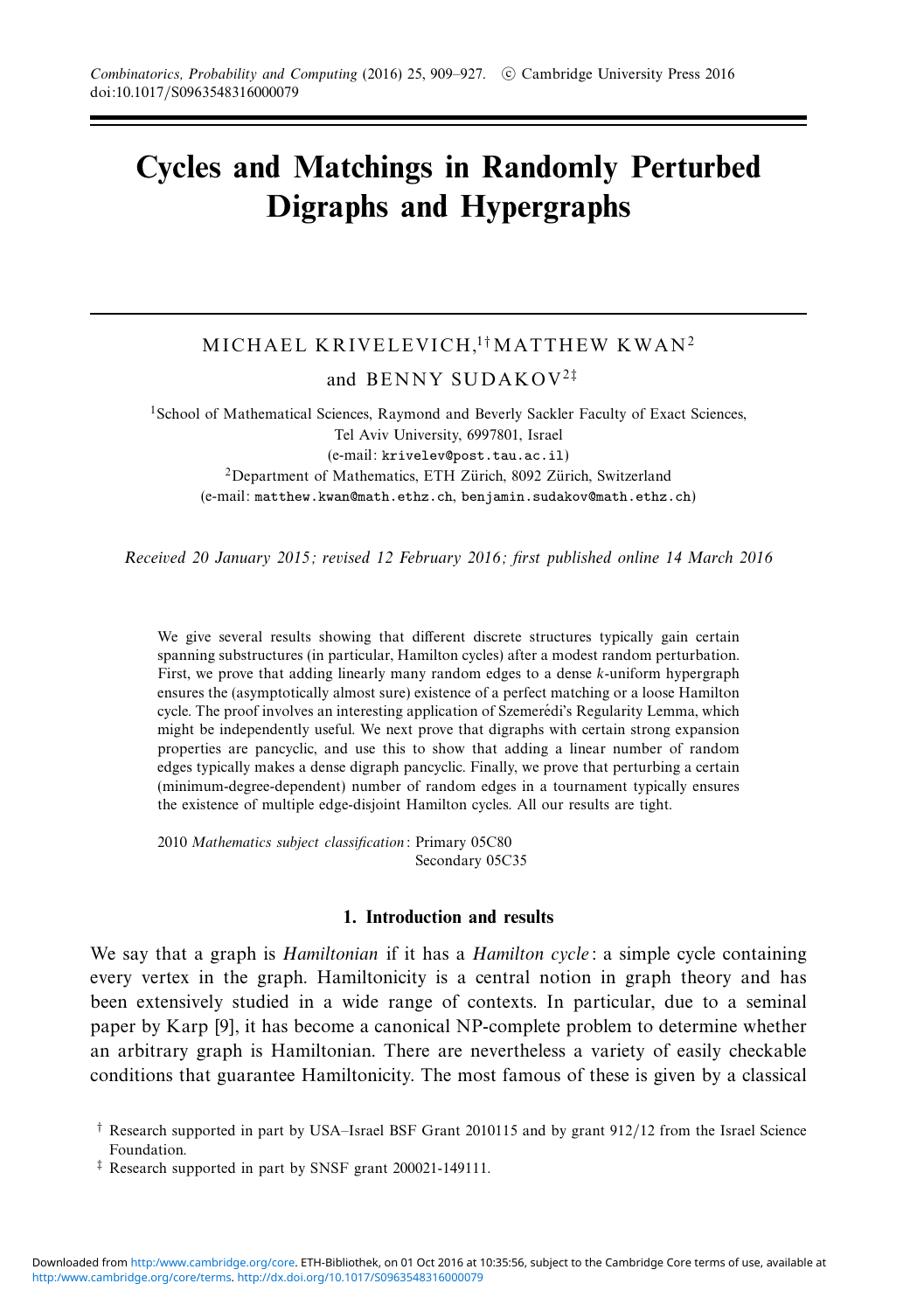# **Cycles and Matchings in Randomly Perturbed Digraphs and Hypergraphs**

## MICHAEL KRIVELEVICH,<sup>1†</sup>MATTHEW KWAN<sup>2</sup>

and BENNY SUDAKOV<sup>2</sup>‡

<sup>1</sup>School of Mathematical Sciences, Raymond and Beverly Sackler Faculty of Exact Sciences, Tel Aviv University, 6997801, Israel (e-mail: krivelev@post.tau.ac.il)  $2$ Department of Mathematics, ETH Zürich, 8092 Zürich, Switzerland (e-mail: matthew.kwan@math.ethz.ch, benjamin.sudakov@math.ethz.ch)

Received 20 January 2015; revised 12 February 2016; first published online 14 March 2016

We give several results showing that different discrete structures typically gain certain spanning substructures (in particular, Hamilton cycles) after a modest random perturbation. First, we prove that adding linearly many random edges to a dense *k*-uniform hypergraph ensures the (asymptotically almost sure) existence of a perfect matching or a loose Hamilton cycle. The proof involves an interesting application of Szemerédi's Regularity Lemma, which might be independently useful. We next prove that digraphs with certain strong expansion properties are pancyclic, and use this to show that adding a linear number of random edges typically makes a dense digraph pancyclic. Finally, we prove that perturbing a certain (minimum-degree-dependent) number of random edges in a tournament typically ensures the existence of multiple edge-disjoint Hamilton cycles. All our results are tight.

2010 Mathematics subject classification: Primary 05C80 Secondary 05C35

### **1. Introduction and results**

We say that a graph is *Hamiltonian* if it has a *Hamilton cycle*: a simple cycle containing every vertex in the graph. Hamiltonicity is a central notion in graph theory and has been extensively studied in a wide range of contexts. In particular, due to a seminal paper by Karp [9], it has become a canonical NP-complete problem to determine whether an arbitrary graph is Hamiltonian. There are nevertheless a variety of easily checkable conditions that guarantee Hamiltonicity. The most famous of these is given by a classical

‡ Research supported in part by SNSF grant 200021-149111.

<sup>†</sup> Research supported in part by USA–Israel BSF Grant 2010115 and by grant 912/12 from the Israel Science Foundation.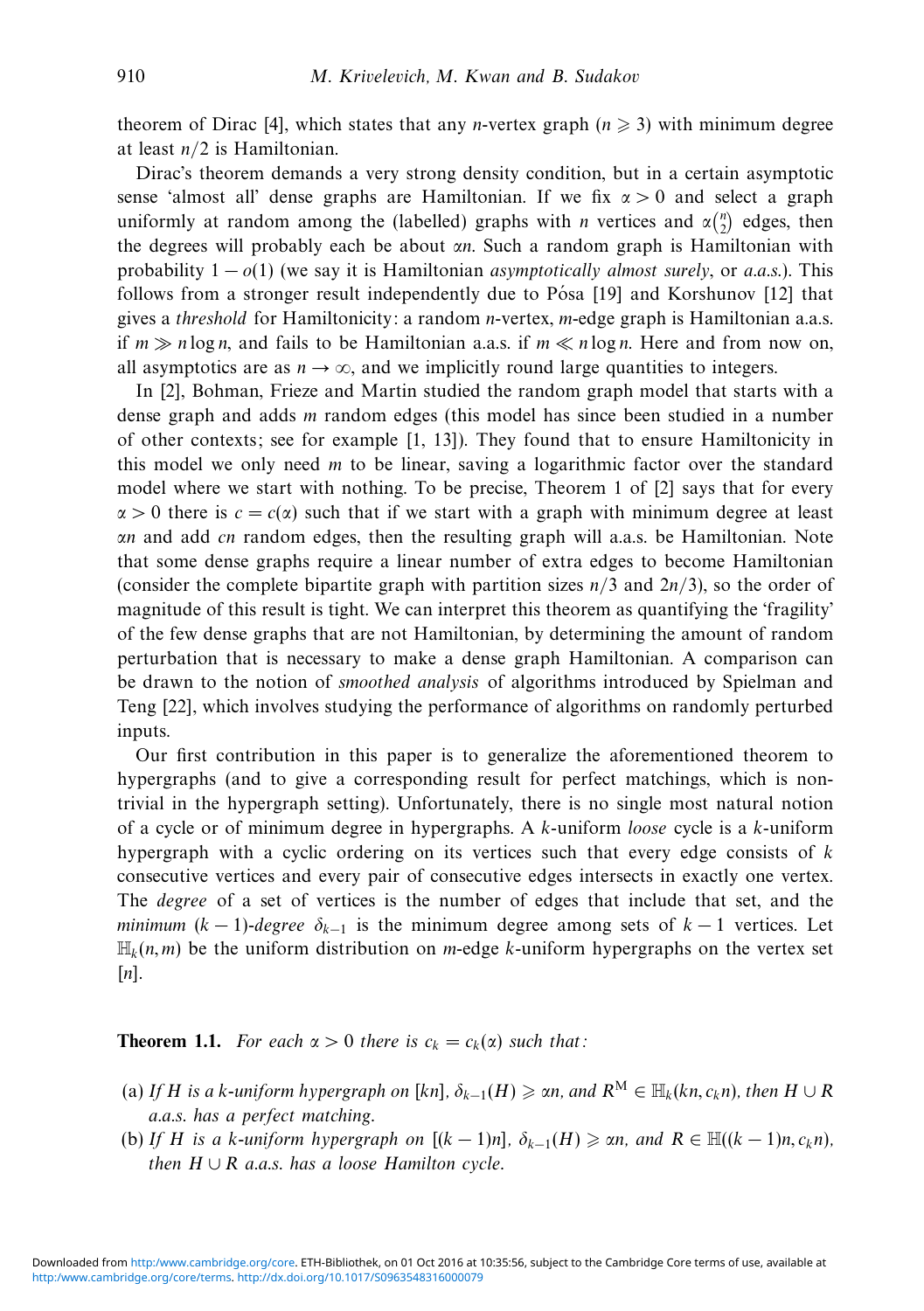theorem of Dirac [4], which states that any *n*-vertex graph  $(n \geq 3)$  with minimum degree at least *n/*2 is Hamiltonian.

Dirac's theorem demands a very strong density condition, but in a certain asymptotic sense 'almost all' dense graphs are Hamiltonian. If we fix *α >* 0 and select a graph uniformly at random among the (labelled) graphs with *n* vertices and  $\alpha_{2}^{(n)}$  edges, then the degrees will probably each be about *αn*. Such a random graph is Hamiltonian with probability  $1 - o(1)$  (we say it is Hamiltonian *asymptotically almost surely, or a.a.s.*). This follows from a stronger result independently due to Pósa  $[19]$  and Korshunov  $[12]$  that gives a threshold for Hamiltonicity: a random *n*-vertex, *m*-edge graph is Hamiltonian a.a.s. if  $m \gg n \log n$ , and fails to be Hamiltonian a.a.s. if  $m \ll n \log n$ . Here and from now on, all asymptotics are as  $n \to \infty$ , and we implicitly round large quantities to integers.

In [2], Bohman, Frieze and Martin studied the random graph model that starts with a dense graph and adds *m* random edges (this model has since been studied in a number of other contexts; see for example [1, 13]). They found that to ensure Hamiltonicity in this model we only need *m* to be linear, saving a logarithmic factor over the standard model where we start with nothing. To be precise, Theorem 1 of [2] says that for every  $\alpha > 0$  there is  $c = c(\alpha)$  such that if we start with a graph with minimum degree at least *αn* and add *cn* random edges, then the resulting graph will a.a.s. be Hamiltonian. Note that some dense graphs require a linear number of extra edges to become Hamiltonian (consider the complete bipartite graph with partition sizes *n/*3 and 2*n/*3), so the order of magnitude of this result is tight. We can interpret this theorem as quantifying the 'fragility' of the few dense graphs that are not Hamiltonian, by determining the amount of random perturbation that is necessary to make a dense graph Hamiltonian. A comparison can be drawn to the notion of smoothed analysis of algorithms introduced by Spielman and Teng [22], which involves studying the performance of algorithms on randomly perturbed inputs.

Our first contribution in this paper is to generalize the aforementioned theorem to hypergraphs (and to give a corresponding result for perfect matchings, which is nontrivial in the hypergraph setting). Unfortunately, there is no single most natural notion of a cycle or of minimum degree in hypergraphs. A *k*-uniform loose cycle is a *k*-uniform hypergraph with a cyclic ordering on its vertices such that every edge consists of *k* consecutive vertices and every pair of consecutive edges intersects in exactly one vertex. The degree of a set of vertices is the number of edges that include that set, and the minimum  $(k-1)$ -degree  $\delta_{k-1}$  is the minimum degree among sets of  $k-1$  vertices. Let  $\mathbb{H}_k(n,m)$  be the uniform distribution on *m*-edge *k*-uniform hypergraphs on the vertex set [*n*].

**Theorem 1.1.** For each  $\alpha > 0$  there is  $c_k = c_k(\alpha)$  such that:

- (a) If *H* is a *k*-uniform hypergraph on [kn],  $\delta_{k-1}(H) \geqslant \alpha n$ , and  $R^M \in \mathbb{H}_k(kn, c_kn)$ , then  $H \cup R$ a.a.s. has a perfect matching.
- (b) If *H* is a *k*-uniform hypergraph on  $[(k-1)n]$ ,  $\delta_{k-1}(H) \ge \alpha n$ , and  $R \in \mathbb{H}((k-1)n, c_k n)$ , then  $H \cup R$  a.a.s. has a loose Hamilton cycle.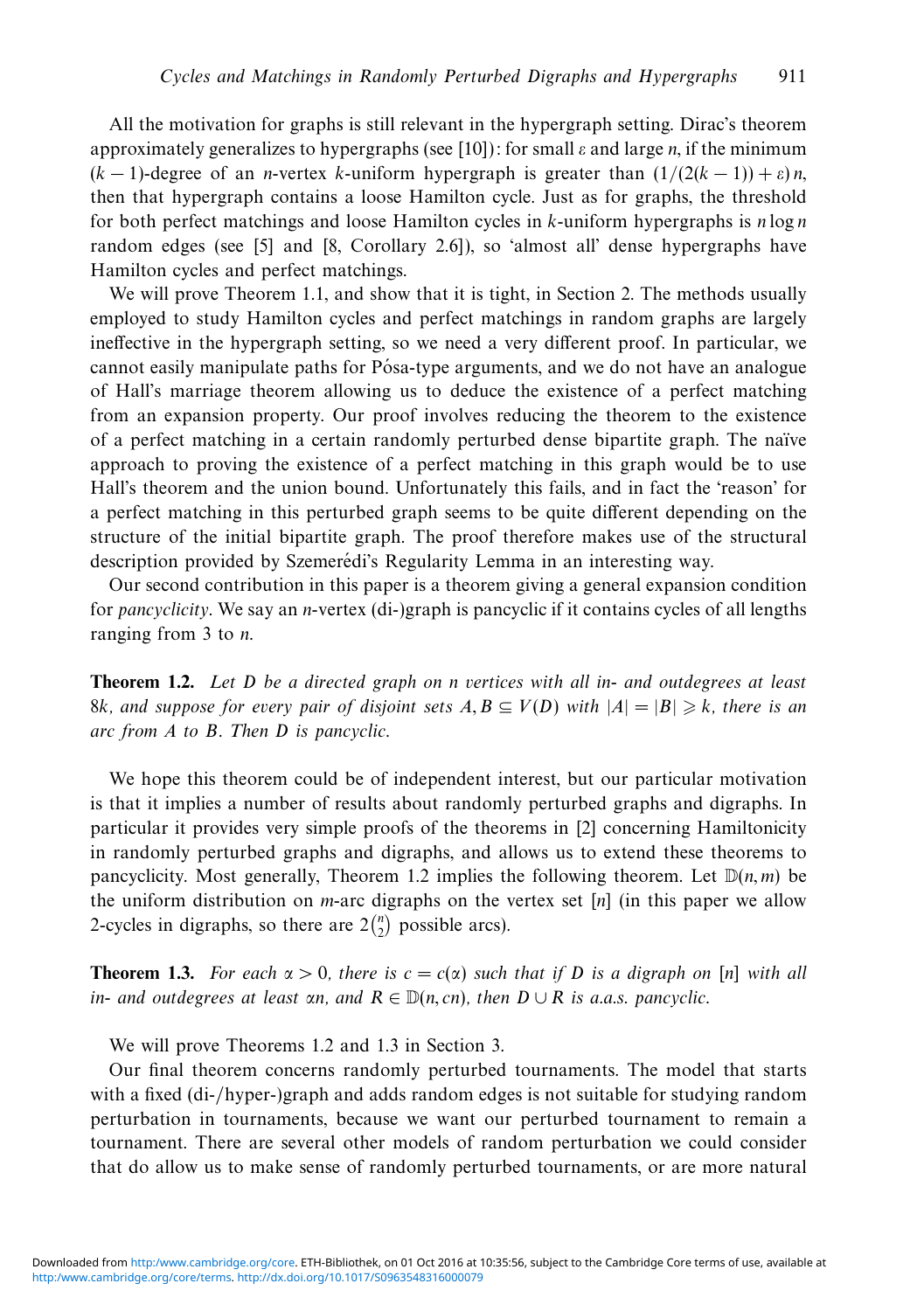All the motivation for graphs is still relevant in the hypergraph setting. Dirac's theorem approximately generalizes to hypergraphs (see [10]): for small *ε* and large *n*, if the minimum (*k* − 1)-degree of an *n*-vertex *k*-uniform hypergraph is greater than (1*/*(2(*k* − 1)) + *ε*) *n*, then that hypergraph contains a loose Hamilton cycle. Just as for graphs, the threshold for both perfect matchings and loose Hamilton cycles in *k*-uniform hypergraphs is *n* log *n* random edges (see [5] and [8, Corollary 2.6]), so 'almost all' dense hypergraphs have Hamilton cycles and perfect matchings.

We will prove Theorem 1.1, and show that it is tight, in Section 2. The methods usually employed to study Hamilton cycles and perfect matchings in random graphs are largely ineffective in the hypergraph setting, so we need a very different proof. In particular, we cannot easily manipulate paths for Pósa-type arguments, and we do not have an analogue of Hall's marriage theorem allowing us to deduce the existence of a perfect matching from an expansion property. Our proof involves reducing the theorem to the existence of a perfect matching in a certain randomly perturbed dense bipartite graph. The na¨ıve approach to proving the existence of a perfect matching in this graph would be to use Hall's theorem and the union bound. Unfortunately this fails, and in fact the 'reason' for a perfect matching in this perturbed graph seems to be quite different depending on the structure of the initial bipartite graph. The proof therefore makes use of the structural description provided by Szemerédi's Regularity Lemma in an interesting way.

Our second contribution in this paper is a theorem giving a general expansion condition for pancyclicity. We say an *n*-vertex (di-)graph is pancyclic if it contains cycles of all lengths ranging from 3 to *n*.

**Theorem 1.2.** Let *D* be a directed graph on *n* vertices with all in- and outdegrees at least 8k, and suppose for every pair of disjoint sets  $A, B \subseteq V(D)$  with  $|A| = |B| \geqslant k$ , there is an arc from *A* to *B*. Then *D* is pancyclic.

We hope this theorem could be of independent interest, but our particular motivation is that it implies a number of results about randomly perturbed graphs and digraphs. In particular it provides very simple proofs of the theorems in [2] concerning Hamiltonicity in randomly perturbed graphs and digraphs, and allows us to extend these theorems to pancyclicity. Most generally, Theorem 1.2 implies the following theorem. Let  $D(n, m)$  be the uniform distribution on *m*-arc digraphs on the vertex set [*n*] (in this paper we allow 2-cycles in digraphs, so there are  $2\binom{n}{2}$  possible arcs).

**Theorem 1.3.** For each  $\alpha > 0$ , there is  $c = c(\alpha)$  such that if *D* is a digraph on [*n*] with all in- and outdegrees at least  $\alpha n$ , and  $R \in \mathbb{D}(n, cn)$ , then  $D \cup R$  is a.a.s. pancyclic.

We will prove Theorems 1.2 and 1.3 in Section 3.

Our final theorem concerns randomly perturbed tournaments. The model that starts with a fixed (di-/hyper-)graph and adds random edges is not suitable for studying random perturbation in tournaments, because we want our perturbed tournament to remain a tournament. There are several other models of random perturbation we could consider that do allow us to make sense of randomly perturbed tournaments, or are more natural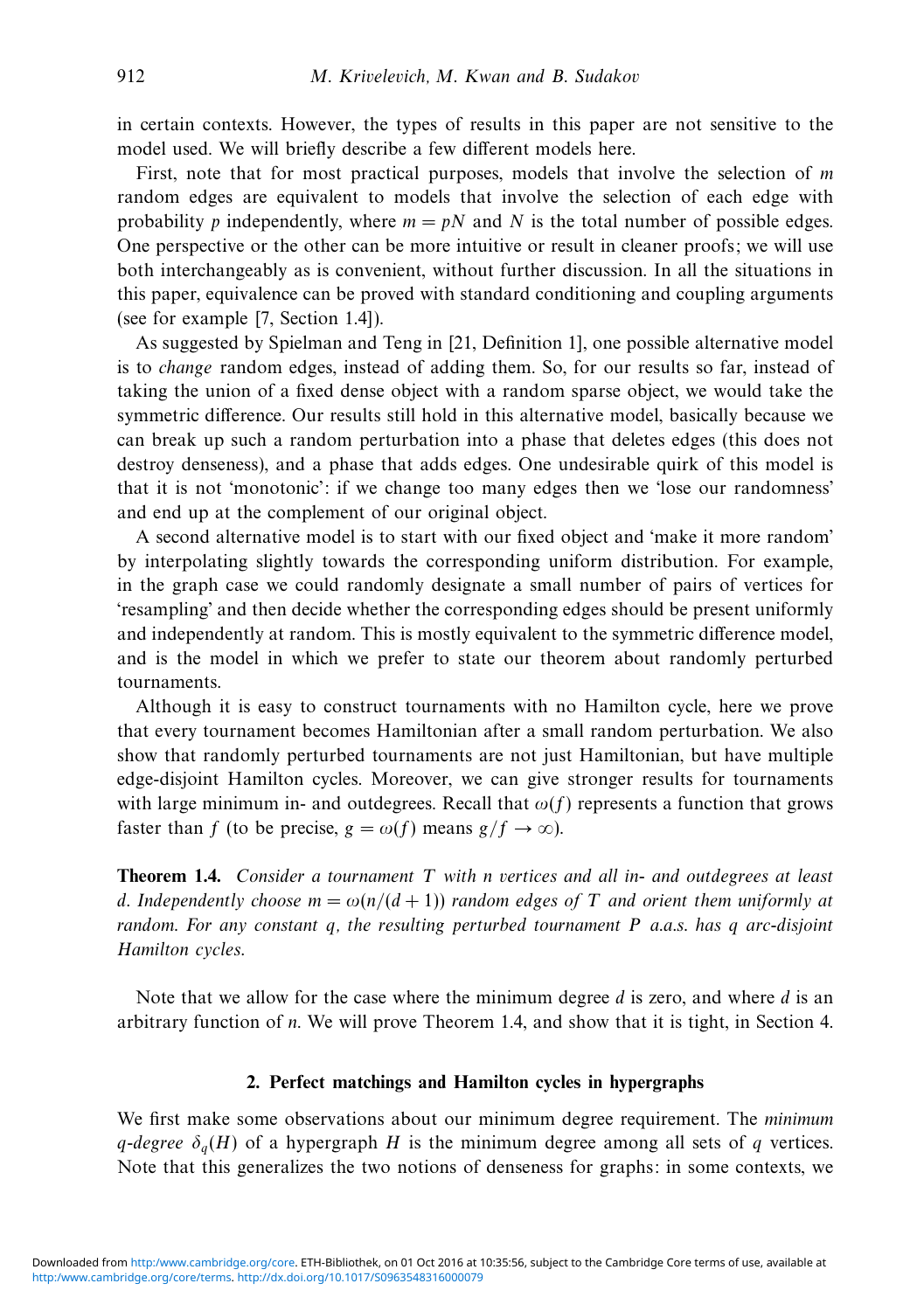in certain contexts. However, the types of results in this paper are not sensitive to the model used. We will briefly describe a few different models here.

First, note that for most practical purposes, models that involve the selection of *m* random edges are equivalent to models that involve the selection of each edge with probability *p* independently, where  $m = pN$  and *N* is the total number of possible edges. One perspective or the other can be more intuitive or result in cleaner proofs; we will use both interchangeably as is convenient, without further discussion. In all the situations in this paper, equivalence can be proved with standard conditioning and coupling arguments (see for example [7, Section 1.4]).

As suggested by Spielman and Teng in [21, Definition 1], one possible alternative model is to change random edges, instead of adding them. So, for our results so far, instead of taking the union of a fixed dense object with a random sparse object, we would take the symmetric difference. Our results still hold in this alternative model, basically because we can break up such a random perturbation into a phase that deletes edges (this does not destroy denseness), and a phase that adds edges. One undesirable quirk of this model is that it is not 'monotonic': if we change too many edges then we 'lose our randomness' and end up at the complement of our original object.

A second alternative model is to start with our fixed object and 'make it more random' by interpolating slightly towards the corresponding uniform distribution. For example, in the graph case we could randomly designate a small number of pairs of vertices for 'resampling' and then decide whether the corresponding edges should be present uniformly and independently at random. This is mostly equivalent to the symmetric difference model, and is the model in which we prefer to state our theorem about randomly perturbed tournaments.

Although it is easy to construct tournaments with no Hamilton cycle, here we prove that every tournament becomes Hamiltonian after a small random perturbation. We also show that randomly perturbed tournaments are not just Hamiltonian, but have multiple edge-disjoint Hamilton cycles. Moreover, we can give stronger results for tournaments with large minimum in- and outdegrees. Recall that  $\omega(f)$  represents a function that grows faster than *f* (to be precise,  $g = \omega(f)$  means  $g/f \to \infty$ ).

**Theorem 1.4.** Consider a tournament *T* with *n* vertices and all in- and outdegrees at least *d*. Independently choose  $m = \omega(n/(d+1))$  random edges of *T* and orient them uniformly at random. For any constant *q*, the resulting perturbed tournament *P* a.a.s. has *q* arc-disjoint Hamilton cycles.

Note that we allow for the case where the minimum degree *d* is zero, and where *d* is an arbitrary function of *n*. We will prove Theorem 1.4, and show that it is tight, in Section 4.

#### **2. Perfect matchings and Hamilton cycles in hypergraphs**

We first make some observations about our minimum degree requirement. The minimum *q*-degree  $\delta_q(H)$  of a hypergraph *H* is the minimum degree among all sets of *q* vertices. Note that this generalizes the two notions of denseness for graphs: in some contexts, we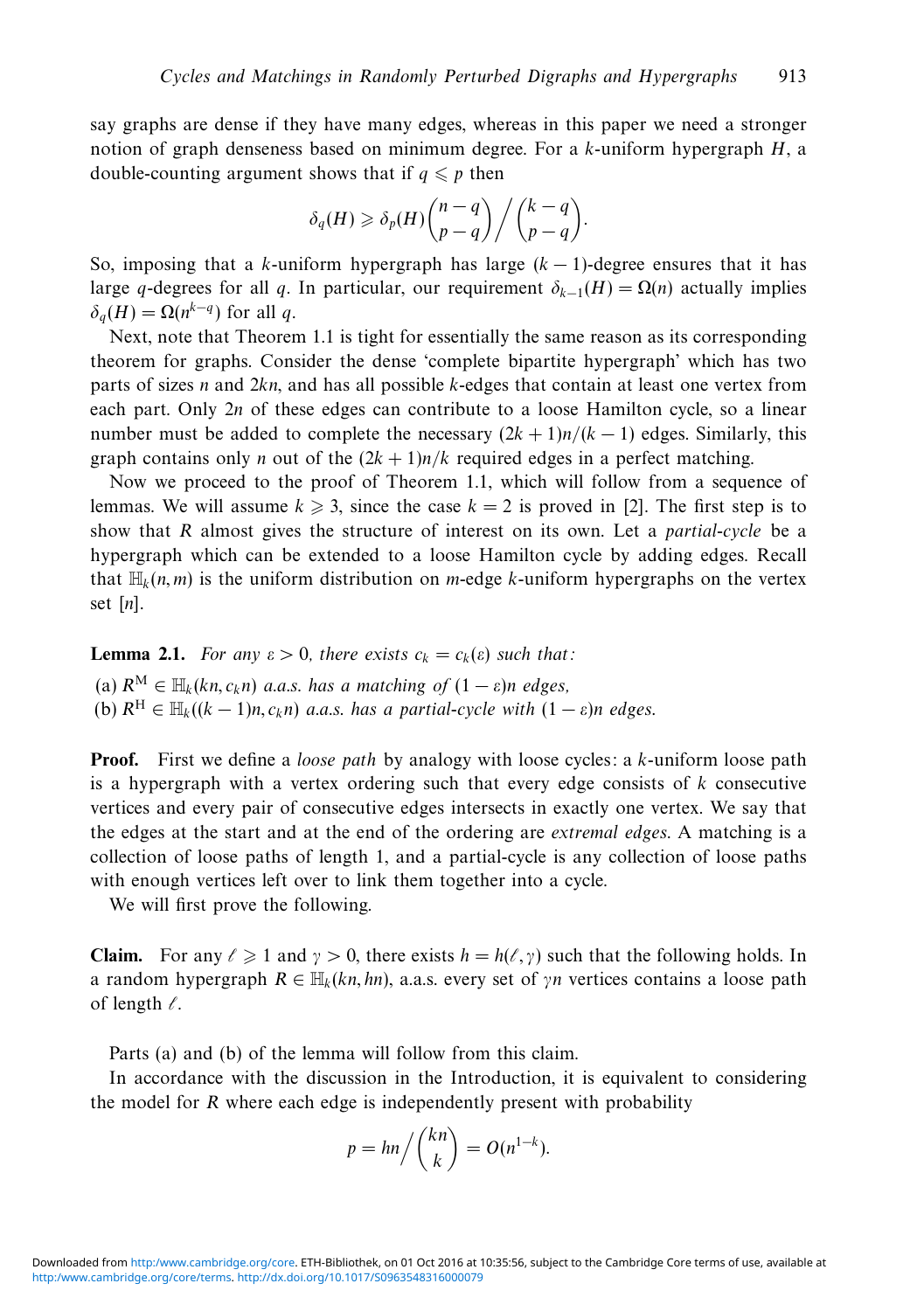say graphs are dense if they have many edges, whereas in this paper we need a stronger notion of graph denseness based on minimum degree. For a *k*-uniform hypergraph *H*, a double-counting argument shows that if  $q \leq p$  then

$$
\delta_q(H) \geq \delta_p(H) \binom{n-q}{p-q} / \binom{k-q}{p-q}.
$$

So, imposing that a *k*-uniform hypergraph has large  $(k - 1)$ -degree ensures that it has large *q*-degrees for all *q*. In particular, our requirement  $\delta_{k-1}(H) = \Omega(n)$  actually implies  $\delta_q(H) = \Omega(n^{k-q})$  for all *q*.

Next, note that Theorem 1.1 is tight for essentially the same reason as its corresponding theorem for graphs. Consider the dense 'complete bipartite hypergraph' which has two parts of sizes *n* and 2*kn*, and has all possible *k*-edges that contain at least one vertex from each part. Only 2*n* of these edges can contribute to a loose Hamilton cycle, so a linear number must be added to complete the necessary  $(2k + 1)n/(k - 1)$  edges. Similarly, this graph contains only *n* out of the  $(2k + 1)n/k$  required edges in a perfect matching.

Now we proceed to the proof of Theorem 1.1, which will follow from a sequence of lemmas. We will assume  $k \geq 3$ , since the case  $k = 2$  is proved in [2]. The first step is to show that *R* almost gives the structure of interest on its own. Let a partial-cycle be a hypergraph which can be extended to a loose Hamilton cycle by adding edges. Recall that  $\mathbb{H}_k(n,m)$  is the uniform distribution on *m*-edge *k*-uniform hypergraphs on the vertex set [*n*].

**Lemma 2.1.** For any  $\varepsilon > 0$ , there exists  $c_k = c_k(\varepsilon)$  such that:

(a)  $R^M \in \mathbb{H}_k(kn, c_kn)$  a.a.s. has a matching of  $(1 - \varepsilon)n$  edges, (b)  $R^H \in H_k((k-1)n, c_k n)$  a.a.s. has a partial-cycle with  $(1 - \varepsilon)n$  edges.

**Proof.** First we define a *loose path* by analogy with loose cycles: a *k*-uniform loose path is a hypergraph with a vertex ordering such that every edge consists of *k* consecutive vertices and every pair of consecutive edges intersects in exactly one vertex. We say that the edges at the start and at the end of the ordering are extremal edges. A matching is a collection of loose paths of length 1, and a partial-cycle is any collection of loose paths with enough vertices left over to link them together into a cycle.

We will first prove the following.

**Claim.** For any  $\ell \geq 1$  and  $\gamma > 0$ , there exists  $h = h(\ell, \gamma)$  such that the following holds. In a random hypergraph  $R \in \mathbb{H}_k(kn, hn)$ , a.a.s. every set of  $\gamma n$  vertices contains a loose path of length  $\ell$ .

Parts (a) and (b) of the lemma will follow from this claim.

In accordance with the discussion in the Introduction, it is equivalent to considering the model for *R* where each edge is independently present with probability

$$
p = \frac{hn}{k} \binom{kn}{k} = O(n^{1-k}).
$$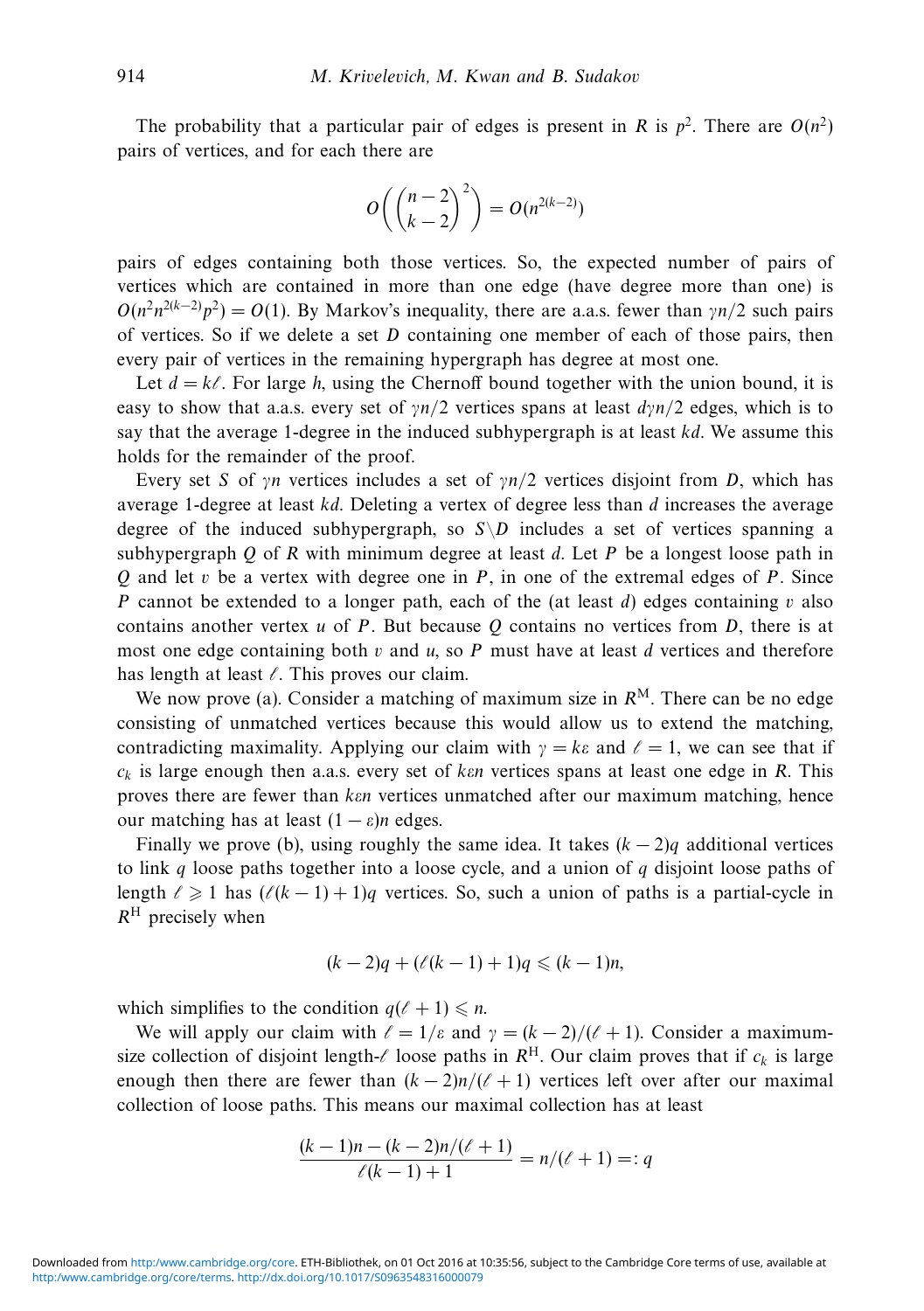The probability that a particular pair of edges is present in *R* is  $p^2$ . There are  $O(n^2)$ pairs of vertices, and for each there are

$$
O\left(\binom{n-2}{k-2}^2\right) = O(n^{2(k-2)})
$$

pairs of edges containing both those vertices. So, the expected number of pairs of vertices which are contained in more than one edge (have degree more than one) is  $O(n^2 n^{2(k-2)} p^2) = O(1)$ . By Markov's inequality, there are a.a.s. fewer than *γn/*2 such pairs of vertices. So if we delete a set *D* containing one member of each of those pairs, then every pair of vertices in the remaining hypergraph has degree at most one.

Let  $d = k\ell$ . For large *h*, using the Chernoff bound together with the union bound, it is easy to show that a.a.s. every set of  $\gamma n/2$  vertices spans at least  $d\gamma n/2$  edges, which is to say that the average 1-degree in the induced subhypergraph is at least *kd*. We assume this holds for the remainder of the proof.

Every set *S* of  $\gamma n$  vertices includes a set of  $\gamma n/2$  vertices disjoint from *D*, which has average 1-degree at least *kd*. Deleting a vertex of degree less than *d* increases the average degree of the induced subhypergraph, so  $S\setminus D$  includes a set of vertices spanning a subhypergraph *Q* of *R* with minimum degree at least *d*. Let *P* be a longest loose path in *Q* and let *v* be a vertex with degree one in *P*, in one of the extremal edges of *P*. Since *P* cannot be extended to a longer path, each of the (at least *d*) edges containing *v* also contains another vertex *u* of *P*. But because *Q* contains no vertices from *D*, there is at most one edge containing both *v* and *u*, so *P* must have at least *d* vertices and therefore has length at least  $\ell$ . This proves our claim.

We now prove (a). Consider a matching of maximum size in  $R<sup>M</sup>$ . There can be no edge consisting of unmatched vertices because this would allow us to extend the matching, contradicting maximality. Applying our claim with  $\gamma = k\varepsilon$  and  $\ell = 1$ , we can see that if *ck* is large enough then a.a.s. every set of *kεn* vertices spans at least one edge in *R*. This proves there are fewer than *kεn* vertices unmatched after our maximum matching, hence our matching has at least  $(1 - \varepsilon)n$  edges.

Finally we prove (b), using roughly the same idea. It takes  $(k-2)q$  additional vertices to link *q* loose paths together into a loose cycle, and a union of *q* disjoint loose paths of length  $\ell \geq 1$  has  $(\ell(k-1)+1)q$  vertices. So, such a union of paths is a partial-cycle in *R*<sup>H</sup> precisely when

$$
(k-2)q + (\ell(k-1) + 1)q \leq (k-1)n,
$$

which simplifies to the condition  $q(\ell + 1) \leq n$ .

We will apply our claim with  $\ell = 1/\varepsilon$  and  $\gamma = (k-2)/(\ell+1)$ . Consider a maximumsize collection of disjoint length- $\ell$  loose paths in  $R^H$ . Our claim proves that if  $c_k$  is large enough then there are fewer than  $(k-2)n/(\ell+1)$  vertices left over after our maximal collection of loose paths. This means our maximal collection has at least

$$
\frac{(k-1)n - (k-2)n/(\ell+1)}{\ell(k-1)+1} = n/(\ell+1) =: q
$$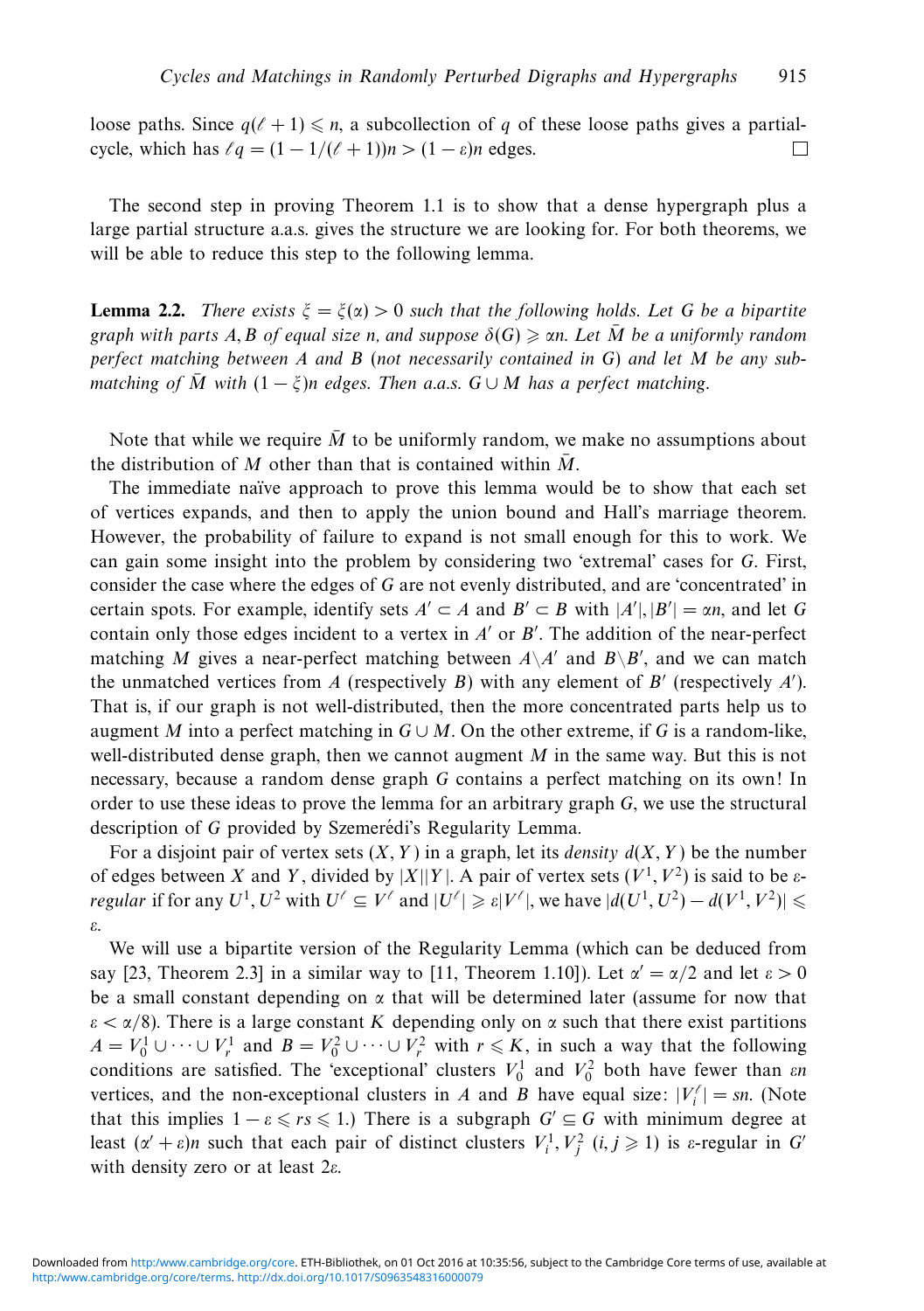loose paths. Since  $q(\ell + 1) \leq n$ , a subcollection of q of these loose paths gives a partialcycle, which has  $\ell q = (1 - 1/(\ell + 1))n > (1 - \varepsilon)n$  edges. П

The second step in proving Theorem 1.1 is to show that a dense hypergraph plus a large partial structure a.a.s. gives the structure we are looking for. For both theorems, we will be able to reduce this step to the following lemma.

**Lemma 2.2.** There exists  $\xi = \xi(\alpha) > 0$  such that the following holds. Let *G* be a bipartite graph with parts A, B of equal size *n*, and suppose  $\delta(G) \geqslant \alpha n$ . Let  $\overline{M}$  be a uniformly random perfect matching between *A* and *B* (not necessarily contained in *G*) and let *M* be any submatching of  $\overline{M}$  with  $(1 - \xi)n$  edges. Then a.a.s.  $G \cup M$  has a perfect matching.

Note that while we require  $\overline{M}$  to be uniformly random, we make no assumptions about the distribution of M other than that is contained within  $\overline{M}$ .

The immediate naïve approach to prove this lemma would be to show that each set of vertices expands, and then to apply the union bound and Hall's marriage theorem. However, the probability of failure to expand is not small enough for this to work. We can gain some insight into the problem by considering two 'extremal' cases for *G*. First, consider the case where the edges of *G* are not evenly distributed, and are 'concentrated' in certain spots. For example, identify sets  $A' \subset A$  and  $B' \subset B$  with  $|A'|, |B'| = \alpha n$ , and let G contain only those edges incident to a vertex in  $A'$  or  $B'$ . The addition of the near-perfect matching *M* gives a near-perfect matching between  $A \setminus A'$  and  $B \setminus B'$ , and we can match the unmatched vertices from  $A$  (respectively  $B$ ) with any element of  $B'$  (respectively  $A'$ ). That is, if our graph is not well-distributed, then the more concentrated parts help us to augment *M* into a perfect matching in  $G \cup M$ . On the other extreme, if G is a random-like, well-distributed dense graph, then we cannot augment *M* in the same way. But this is not necessary, because a random dense graph *G* contains a perfect matching on its own! In order to use these ideas to prove the lemma for an arbitrary graph *G*, we use the structural description of *G* provided by Szemerédi's Regularity Lemma.

For a disjoint pair of vertex sets  $(X, Y)$  in a graph, let its *density*  $d(X, Y)$  be the number of edges between *X* and *Y*, divided by  $|X||Y|$ . A pair of vertex sets  $(V<sup>1</sup>, V<sup>2</sup>)$  is said to be  $\varepsilon$  $f$  regular if for any  $U^1, U^2$  with  $U^{\ell} \subseteq V^{\ell}$  and  $|U^{\ell}| \geqslant \varepsilon |V^{\ell}|,$  we have  $|d(U^1, U^2) - d(V^1, V^2)| \leqslant \varepsilon$ *ε*.

We will use a bipartite version of the Regularity Lemma (which can be deduced from say [23, Theorem 2.3] in a similar way to [11, Theorem 1.10]). Let  $\alpha' = \alpha/2$  and let  $\varepsilon > 0$ be a small constant depending on *α* that will be determined later (assume for now that  $\varepsilon < \alpha/8$ ). There is a large constant *K* depending only on  $\alpha$  such that there exist partitions *A* =  $V_0^1$  ∪ ··· ∪  $V_r^1$  and  $B = V_0^2$  ∪ ··· ∪  $V_r^2$  with  $r \le K$ , in such a way that the following conditions are satisfied. The 'exceptional' clusters  $V_0^1$  and  $V_0^2$  both have fewer than *εn* vertices, and the non-exceptional clusters in *A* and *B* have equal size:  $|V_i^{\ell}| = sn$ . (Note that this implies  $1 - \varepsilon \leq r s \leq 1$ .) There is a subgraph  $G' \subseteq G$  with minimum degree at least  $(\alpha' + \varepsilon)n$  such that each pair of distinct clusters  $V_i^1, V_j^2$   $(i, j \ge 1)$  is  $\varepsilon$ -regular in *G* with density zero or at least 2*ε*.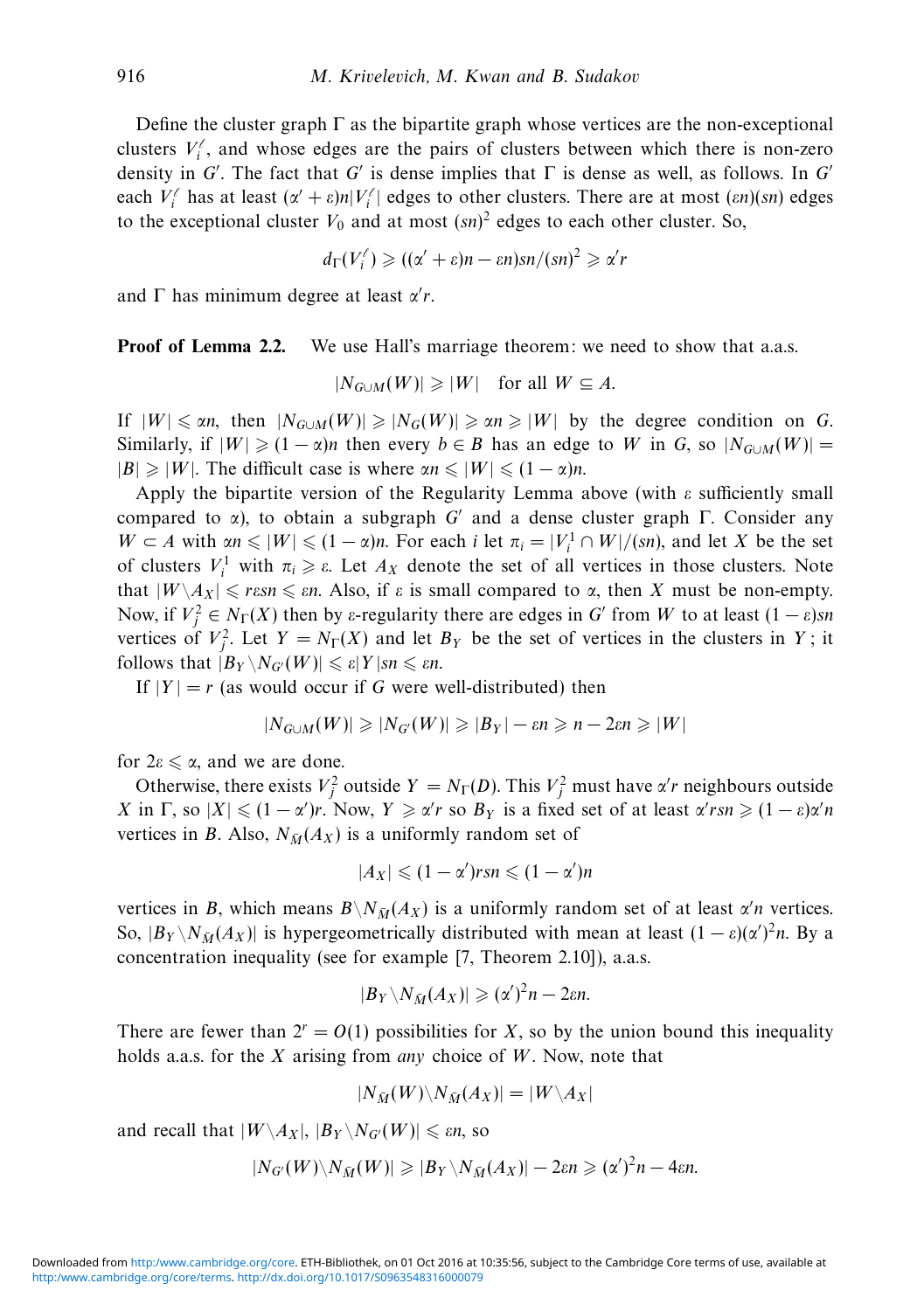Define the cluster graph  $\Gamma$  as the bipartite graph whose vertices are the non-exceptional clusters  $V_i^{\ell}$ , and whose edges are the pairs of clusters between which there is non-zero density in *G'*. The fact that *G'* is dense implies that  $\Gamma$  is dense as well, as follows. In *G'* each  $V_i^{\ell}$  has at least  $(\alpha' + \varepsilon)n|V_i^{\ell}|$  edges to other clusters. There are at most  $(\varepsilon n)(sn)$  edges to the exceptional cluster  $V_0$  and at most  $(sn)^2$  edges to each other cluster. So,

$$
d_{\Gamma}(V_i^{\ell}) \geqslant ((\alpha' + \varepsilon)n - \varepsilon n)sn/(sn)^2 \geqslant \alpha' r
$$

and Γ has minimum degree at least *α r*.

**Proof of Lemma 2.2.** We use Hall's marriage theorem: we need to show that a.a.s.

$$
|N_{G\cup M}(W)| \geq |W| \quad \text{for all } W \subseteq A.
$$

If  $|W| \le \alpha n$ , then  $|N_{G \cup M}(W)| \ge |N_G(W)| \ge \alpha n \ge |W|$  by the degree condition on *G*. Similarly, if  $|W| \geq (1 - \alpha)n$  then every  $b \in B$  has an edge to W in *G*, so  $|N_{G \cup M}(W)| =$  $|B| \ge |W|$ . The difficult case is where  $\alpha n \le |W| \le (1 - \alpha)n$ .

Apply the bipartite version of the Regularity Lemma above (with *ε* sufficiently small compared to *α*), to obtain a subgraph *G* and a dense cluster graph Γ. Consider any  $W \subset A$  with  $\alpha n \leq |W| \leq (1 - \alpha)n$ . For each *i* let  $\pi_i = |V_i^1 \cap W|/(sn)$ , and let *X* be the set of clusters  $V_i^1$  with  $\pi_i \geq \varepsilon$ . Let  $A_X$  denote the set of all vertices in those clusters. Note that  $|W \setminus A_X| \leqslant r \varepsilon s n \leqslant \varepsilon n$ . Also, if  $\varepsilon$  is small compared to  $\alpha$ , then *X* must be non-empty. Now, if  $V_j^2 \in N_\Gamma(X)$  then by *ε*-regularity there are edges in *G*' from *W* to at least  $(1 - \varepsilon)$ *sn* vertices of  $V_j^2$ . Let  $Y = N_\Gamma(X)$  and let  $B_Y$  be the set of vertices in the clusters in *Y*; it follows that  $|B_Y \setminus N_{G'}(W)| \leqslant \varepsilon |Y|$ *sn*  $\leqslant \varepsilon n$ .

If  $|Y| = r$  (as would occur if G were well-distributed) then

$$
|N_{G\cup M}(W)| \geq |N_{G'}(W)| \geq |B_Y| - \varepsilon n \geq n - 2\varepsilon n \geq |W|
$$

for  $2\varepsilon \leq \alpha$ , and we are done.

Otherwise, there exists  $V_j^2$  outside  $Y = N_\Gamma(D)$ . This  $V_j^2$  must have *α'r* neighbours outside *X* in  $\Gamma$ , so  $|X| \leq (1 - \alpha')r$ . Now,  $Y \geq \alpha' r$  so  $B_Y$  is a fixed set of at least  $\alpha' r s n \geq (1 - \varepsilon)\alpha' n$ vertices in *B*. Also,  $N_{\bar{M}}(A_X)$  is a uniformly random set of

$$
|A_X| \leqslant (1-\alpha')rsn \leqslant (1-\alpha')n
$$

vertices in *B*, which means  $B \setminus N_{\bar{M}}(A_X)$  is a uniformly random set of at least  $\alpha'$  vertices. So,  $|B_Y \setminus N_{\bar{M}}(A_X)|$  is hypergeometrically distributed with mean at least  $(1 - \varepsilon)(\alpha')^2 n$ . By a concentration inequality (see for example [7, Theorem 2.10]), a.a.s.

$$
|B_Y \setminus N_{\bar{M}}(A_X)| \geqslant (\alpha')^2 n - 2\varepsilon n.
$$

There are fewer than  $2^r = O(1)$  possibilities for X, so by the union bound this inequality holds a.a.s. for the *X* arising from any choice of *W*. Now, note that

$$
|N_{\bar{M}}(W)\backslash N_{\bar{M}}(A_X)|=|W\backslash A_X|
$$

and recall that  $|W \backslash A_X|$ ,  $|B_Y \backslash N_{G'}(W)| \le \varepsilon n$ , so

$$
|N_{G'}(W)\backslash N_{\bar{M}}(W)|\geqslant |B_Y\backslash N_{\bar{M}}(A_X)|-2\varepsilon n\geqslant (\alpha')^2n-4\varepsilon n.
$$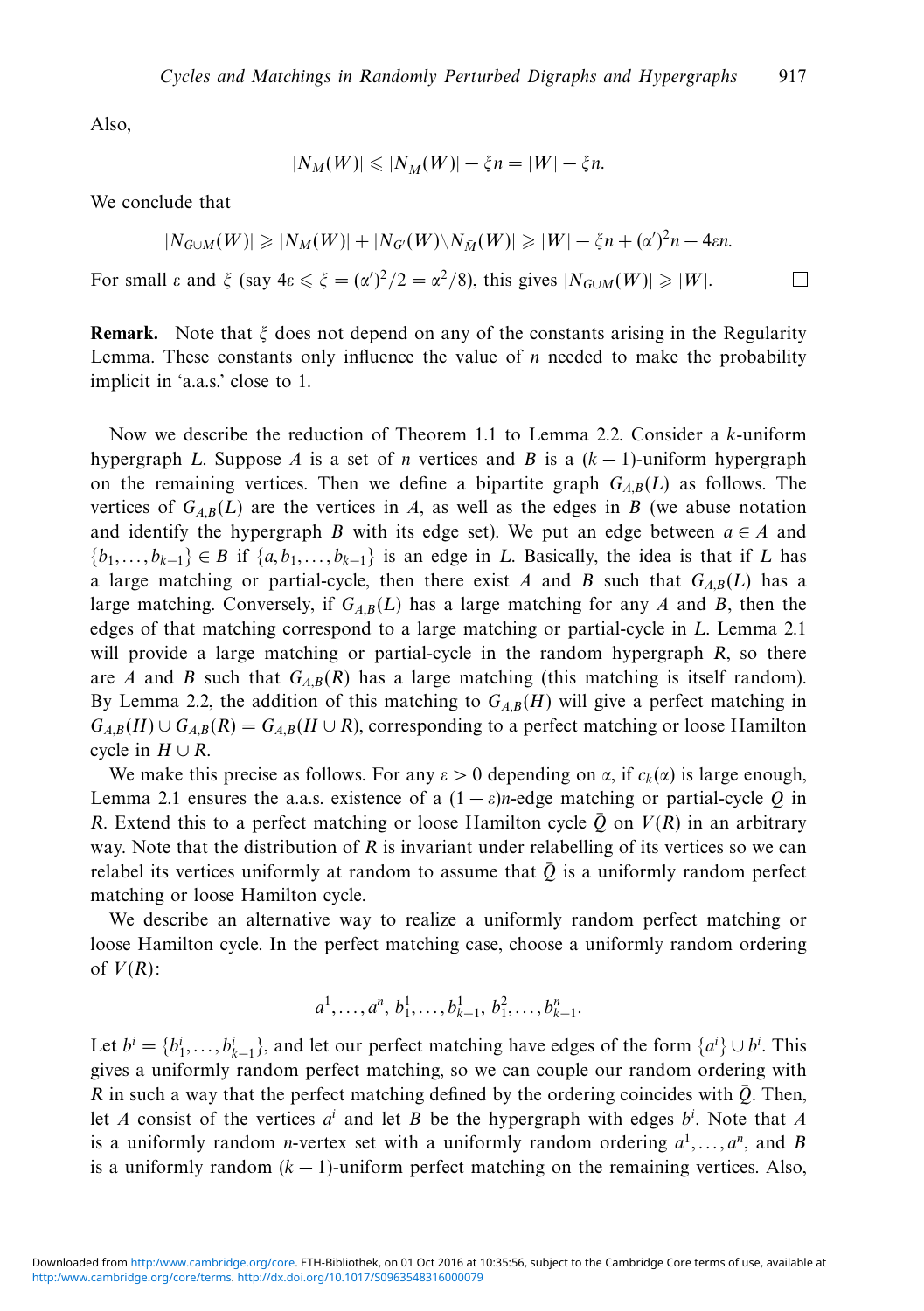Also,

$$
|N_M(W)| \leqslant |N_{\bar{M}}(W)| - \xi n = |W| - \xi n.
$$

We conclude that

$$
|N_{G\cup M}(W)| \ge |N_M(W)| + |N_{G'}(W)\setminus N_{\bar{M}}(W)| \ge |W| - \xi n + (\alpha')^2 n - 4\epsilon n.
$$
  
For small  $\varepsilon$  and  $\xi$  (say  $4\varepsilon \le \xi = (\alpha')^2/2 = \alpha^2/8$ ), this gives  $|N_{G\cup M}(W)| \ge |W|$ .

**Remark.** Note that *ξ* does not depend on any of the constants arising in the Regularity Lemma. These constants only influence the value of *n* needed to make the probability implicit in 'a.a.s.' close to 1.

Now we describe the reduction of Theorem 1.1 to Lemma 2.2. Consider a *k*-uniform hypergraph *L*. Suppose *A* is a set of *n* vertices and *B* is a  $(k - 1)$ -uniform hypergraph on the remaining vertices. Then we define a bipartite graph  $G_{AB}(L)$  as follows. The vertices of  $G_{A,B}(L)$  are the vertices in *A*, as well as the edges in *B* (we abuse notation and identify the hypergraph *B* with its edge set). We put an edge between  $a \in A$  and  ${b_1, \ldots, b_{k-1}} \in B$  if  ${a, b_1, \ldots, b_{k-1}}$  is an edge in *L*. Basically, the idea is that if *L* has a large matching or partial-cycle, then there exist *A* and *B* such that  $G_{AB}(L)$  has a large matching. Conversely, if  $G_{AB}(L)$  has a large matching for any *A* and *B*, then the edges of that matching correspond to a large matching or partial-cycle in *L*. Lemma 2.1 will provide a large matching or partial-cycle in the random hypergraph *R*, so there are *A* and *B* such that  $G_{AB}(R)$  has a large matching (this matching is itself random). By Lemma 2.2, the addition of this matching to  $G_{AB}(H)$  will give a perfect matching in  $G_{A,B}(H) \cup G_{A,B}(R) = G_{A,B}(H \cup R)$ , corresponding to a perfect matching or loose Hamilton cycle in  $H \cup R$ .

We make this precise as follows. For any  $\varepsilon > 0$  depending on  $\alpha$ , if  $c_k(\alpha)$  is large enough, Lemma 2.1 ensures the a.a.s. existence of a  $(1 - \varepsilon)n$ -edge matching or partial-cycle *Q* in *R*. Extend this to a perfect matching or loose Hamilton cycle  $\overline{Q}$  on  $V(R)$  in an arbitrary way. Note that the distribution of *R* is invariant under relabelling of its vertices so we can relabel its vertices uniformly at random to assume that  $\overline{Q}$  is a uniformly random perfect matching or loose Hamilton cycle.

We describe an alternative way to realize a uniformly random perfect matching or loose Hamilton cycle. In the perfect matching case, choose a uniformly random ordering of  $V(R)$ :

$$
a^1, \ldots, a^n, b_1^1, \ldots, b_{k-1}^1, b_1^2, \ldots, b_{k-1}^n
$$

Let  $b^i = \{b^i_1, \ldots, b^i_{k-1}\}$ , and let our perfect matching have edges of the form  $\{a^i\} \cup b^i$ . This gives a uniformly random perfect matching, so we can couple our random ordering with *R* in such a way that the perfect matching defined by the ordering coincides with  $\overline{Q}$ . Then, let *A* consist of the vertices *ai* and let *B* be the hypergraph with edges *bi* . Note that *A* is a uniformly random *n*-vertex set with a uniformly random ordering  $a^1, \ldots, a^n$ , and *B* is a uniformly random (*k* − 1)-uniform perfect matching on the remaining vertices. Also,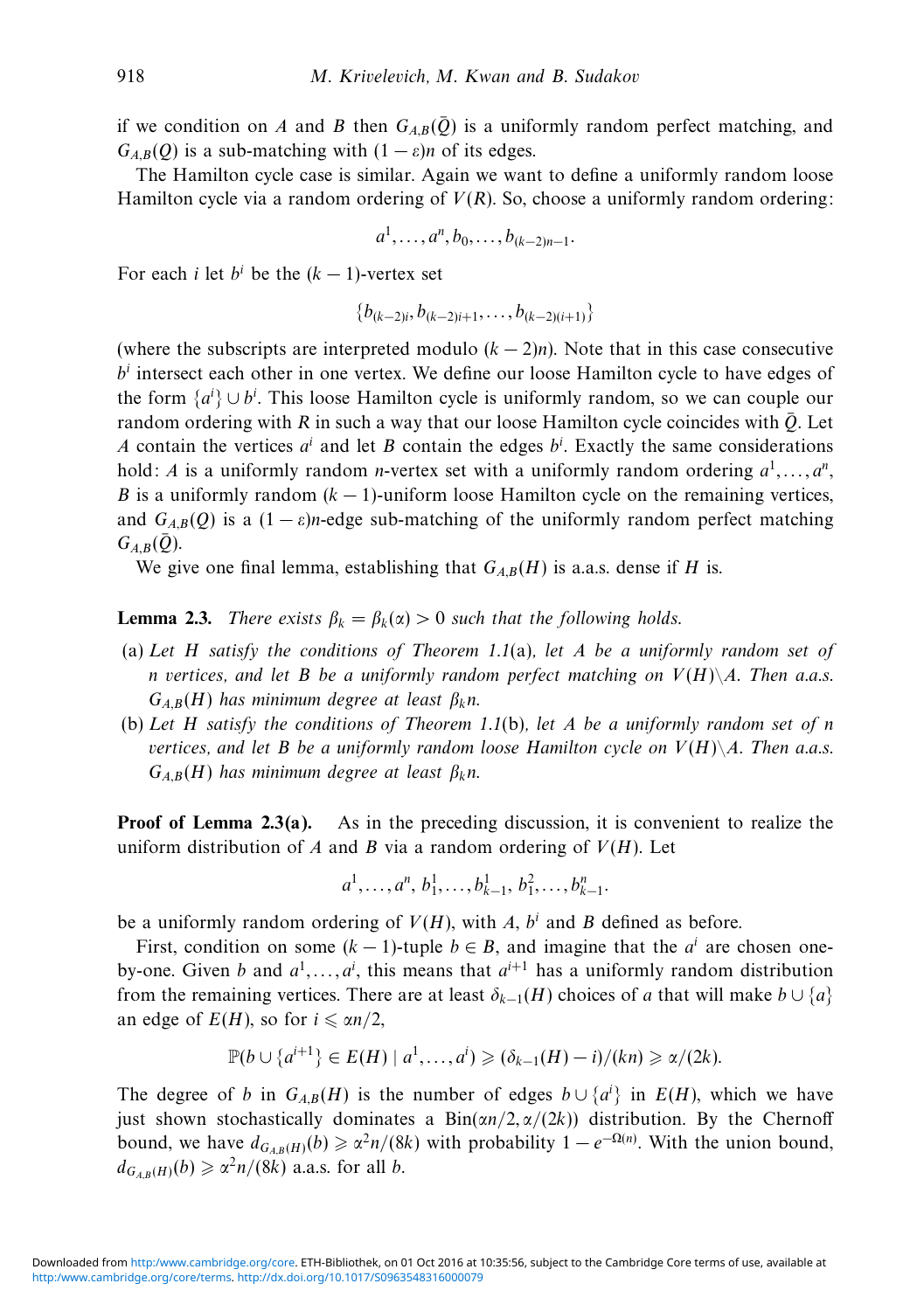if we condition on *A* and *B* then  $G_{AB}(\bar{Q})$  is a uniformly random perfect matching, and  $G_{A,B}(Q)$  is a sub-matching with  $(1 - \varepsilon)n$  of its edges.

The Hamilton cycle case is similar. Again we want to define a uniformly random loose Hamilton cycle via a random ordering of *V*(*R*). So, choose a uniformly random ordering:

$$
a^1, \ldots, a^n, b_0, \ldots, b_{(k-2)n-1}.
$$

For each *i* let  $b^i$  be the  $(k-1)$ -vertex set

{*b*(*k*−2)*i, b*(*k*−2)*i*+1*,...,b*(*k*−2)(*i*+1)}

(where the subscripts are interpreted modulo  $(k-2)n$ ). Note that in this case consecutive  $b<sup>i</sup>$  intersect each other in one vertex. We define our loose Hamilton cycle to have edges of the form  $\{a^i\} \cup b^i$ . This loose Hamilton cycle is uniformly random, so we can couple our random ordering with  $R$  in such a way that our loose Hamilton cycle coincides with  $\overline{Q}$ . Let *A* contain the vertices  $a^i$  and let *B* contain the edges  $b^i$ . Exactly the same considerations hold: *A* is a uniformly random *n*-vertex set with a uniformly random ordering  $a^1, \ldots, a^n$ , *B* is a uniformly random (*k* − 1)-uniform loose Hamilton cycle on the remaining vertices, and  $G_{AB}(O)$  is a  $(1 - \varepsilon)n$ -edge sub-matching of the uniformly random perfect matching  $G_{AB}(\bar{Q})$ .

We give one final lemma, establishing that  $G_{A,B}(H)$  is a.a.s. dense if *H* is.

**Lemma 2.3.** There exists  $\beta_k = \beta_k(\alpha) > 0$  such that the following holds.

- (a) Let *H* satisfy the conditions of Theorem 1.1(a), let *A* be a uniformly random set of *n* vertices, and let *B* be a uniformly random perfect matching on  $V(H)\A$ . Then a.a.s. *GA,B*(*H*) has minimum degree at least *βkn*.
- (b) Let *H* satisfy the conditions of Theorem 1.1(b), let *A* be a uniformly random set of *n* vertices, and let *B* be a uniformly random loose Hamilton cycle on  $V(H)\A$ . Then a.a.s. *GA,B*(*H*) has minimum degree at least *βkn*.

**Proof of Lemma 2.3(a).** As in the preceding discussion, it is convenient to realize the uniform distribution of  $A$  and  $B$  via a random ordering of  $V(H)$ . Let

$$
a^1, \ldots, a^n, b_1^1, \ldots, b_{k-1}^1, b_1^2, \ldots, b_{k-1}^n
$$

be a uniformly random ordering of  $V(H)$ , with A,  $b<sup>i</sup>$  and B defined as before.

First, condition on some  $(k - 1)$ -tuple  $b \in B$ , and imagine that the  $a^i$  are chosen oneby-one. Given *b* and  $a^1, \ldots, a^i$ , this means that  $a^{i+1}$  has a uniformly random distribution from the remaining vertices. There are at least  $\delta_{k-1}(H)$  choices of *a* that will make  $b \cup \{a\}$ an edge of  $E(H)$ , so for  $i \le \alpha n/2$ ,

$$
\mathbb{P}(b \cup \{a^{i+1}\}\in E(H) \mid a^1,\ldots,a^i) \geq (\delta_{k-1}(H)-i)/(kn) \geq \alpha/(2k).
$$

The degree of *b* in  $G_{A,B}(H)$  is the number of edges  $b \cup \{a^i\}$  in  $E(H)$ , which we have just shown stochastically dominates a Bin(*αn/*2*, α/*(2*k*)) distribution. By the Chernoff bound, we have  $d_{G_{A,B}(H)}(b) \ge \alpha^2 n/(8k)$  with probability  $1 - e^{-\Omega(n)}$ . With the union bound,  $d_{G_{A,B}(H)}(b) \geqslant \alpha^2 n/(8k)$  a.a.s. for all *b*.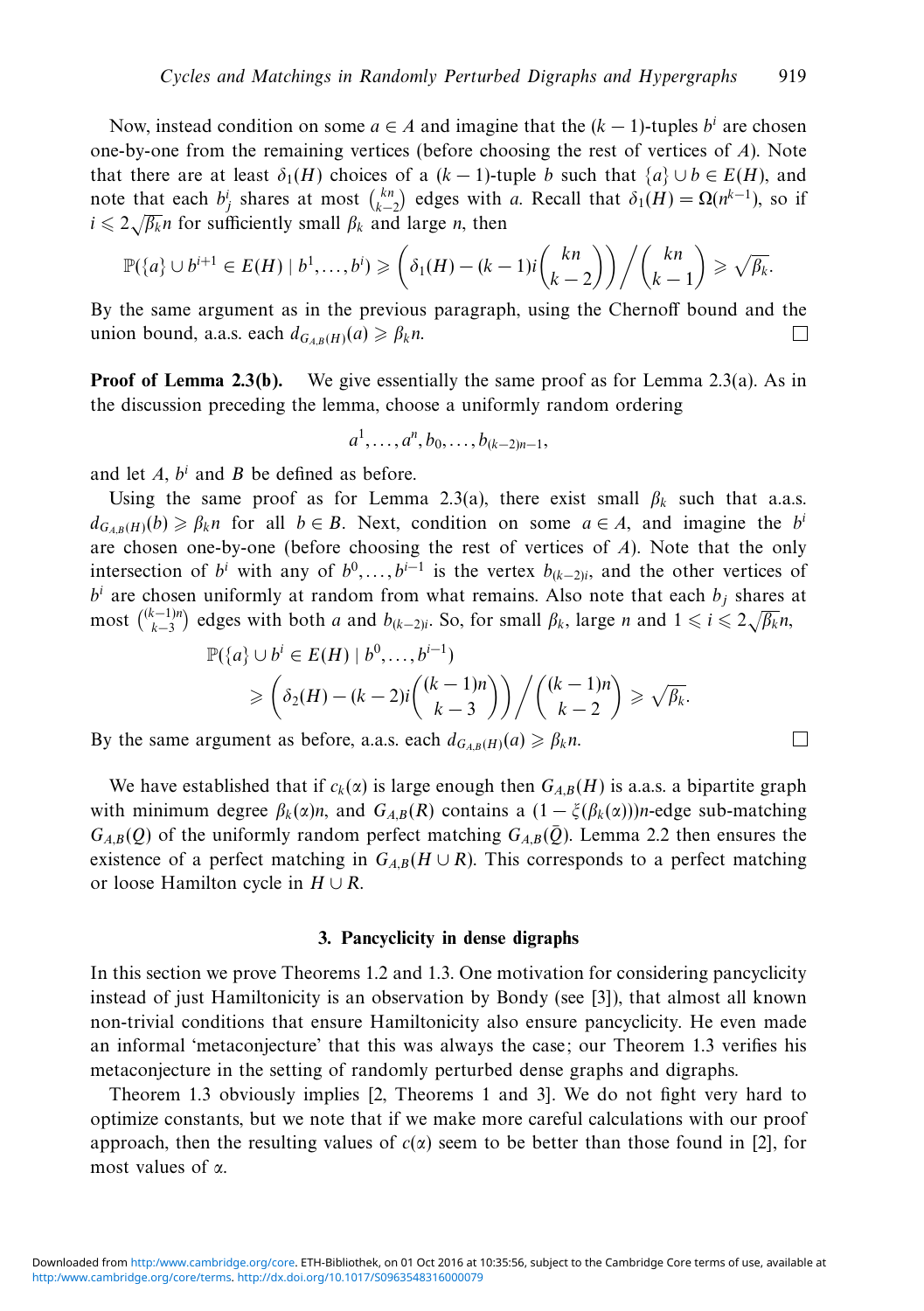Now, instead condition on some  $a \in A$  and imagine that the  $(k - 1)$ -tuples  $b^i$  are chosen one-by-one from the remaining vertices (before choosing the rest of vertices of *A*). Note that there are at least  $\delta_1(H)$  choices of a  $(k-1)$ -tuple *b* such that  $\{a\} \cup b \in E(H)$ , and note that each  $b_j^i$  shares at most  $\binom{kn}{k-2}$  edges with *a*. Recall that  $\delta_1(H) = \Omega(n^{k-1})$ , so if  $i \leq 2\sqrt{\beta_k}n$  for sufficiently small  $\beta_k$  and large *n*, then

$$
\mathbb{P}(\lbrace a \rbrace \cup b^{i+1} \in E(H) \mid b^1, \ldots, b^i) \geqslant \left( \delta_1(H) - (k-1)i {kn \choose k-2} \right) / {kn \choose k-1} \geqslant \sqrt{\beta_k}.
$$

By the same argument as in the previous paragraph, using the Chernoff bound and the union bound, a.a.s. each  $d_{G_{A,B}(H)}(a) \geq \beta_k n$ . П

**Proof of Lemma 2.3(b).** We give essentially the same proof as for Lemma 2.3(a). As in the discussion preceding the lemma, choose a uniformly random ordering

$$
a^1, \ldots, a^n, b_0, \ldots, b_{(k-2)n-1},
$$

and let *A*, *bi* and *B* be defined as before.

Using the same proof as for Lemma 2.3(a), there exist small  $\beta_k$  such that a.a.s.  $d_{G_{A,B}(H)}(b) \geq \beta_k n$  for all  $b \in B$ . Next, condition on some  $a \in A$ , and imagine the *b*<sup>*i*</sup> are chosen one-by-one (before choosing the rest of vertices of *A*). Note that the only intersection of *b<sup>i</sup>* with any of  $b^0$ ,...,  $b^{i-1}$  is the vertex  $b_{(k-2)i}$ , and the other vertices of  $b^i$  are chosen uniformly at random from what remains. Also note that each  $b_j$  shares at  $\int_{0}^{k}$  (*k*<sup>−1)*n*</sup></sup> edges with both *a* and *b*<sub>(*k*−2)*i*</sub>. So, for small *β<sub>k</sub>*, large *n* and  $1 \le i \le 2\sqrt{\beta_k}n$ ,

$$
\mathbb{P}({a} \cup b^{i} \in E(H) \mid b^{0}, \ldots, b^{i-1})
$$
  
\n
$$
\geq {\delta_{2}(H) - (k-2)i {k-1 \choose k-3}} / {k-1 \choose k-2} \geq \sqrt{\beta_{k}}.
$$

 $\Box$ 

By the same argument as before, a.a.s. each  $d_{G_{A,B}(H)}(a) \geq \beta_k n$ .

We have established that if  $c_k(\alpha)$  is large enough then  $G_{A,B}(H)$  is a.a.s. a bipartite graph with minimum degree  $\beta_k(\alpha)n$ , and  $G_{A,B}(R)$  contains a  $(1 - \xi(\beta_k(\alpha)))$ *n*-edge sub-matching  $G_{A,B}(Q)$  of the uniformly random perfect matching  $G_{A,B}(\overline{Q})$ . Lemma 2.2 then ensures the existence of a perfect matching in  $G_{AB}(H \cup R)$ . This corresponds to a perfect matching or loose Hamilton cycle in  $H \cup R$ .

#### **3. Pancyclicity in dense digraphs**

In this section we prove Theorems 1.2 and 1.3. One motivation for considering pancyclicity instead of just Hamiltonicity is an observation by Bondy (see [3]), that almost all known non-trivial conditions that ensure Hamiltonicity also ensure pancyclicity. He even made an informal 'metaconjecture' that this was always the case; our Theorem 1.3 verifies his metaconjecture in the setting of randomly perturbed dense graphs and digraphs.

Theorem 1.3 obviously implies [2, Theorems 1 and 3]. We do not fight very hard to optimize constants, but we note that if we make more careful calculations with our proof approach, then the resulting values of  $c(\alpha)$  seem to be better than those found in [2], for most values of *α*.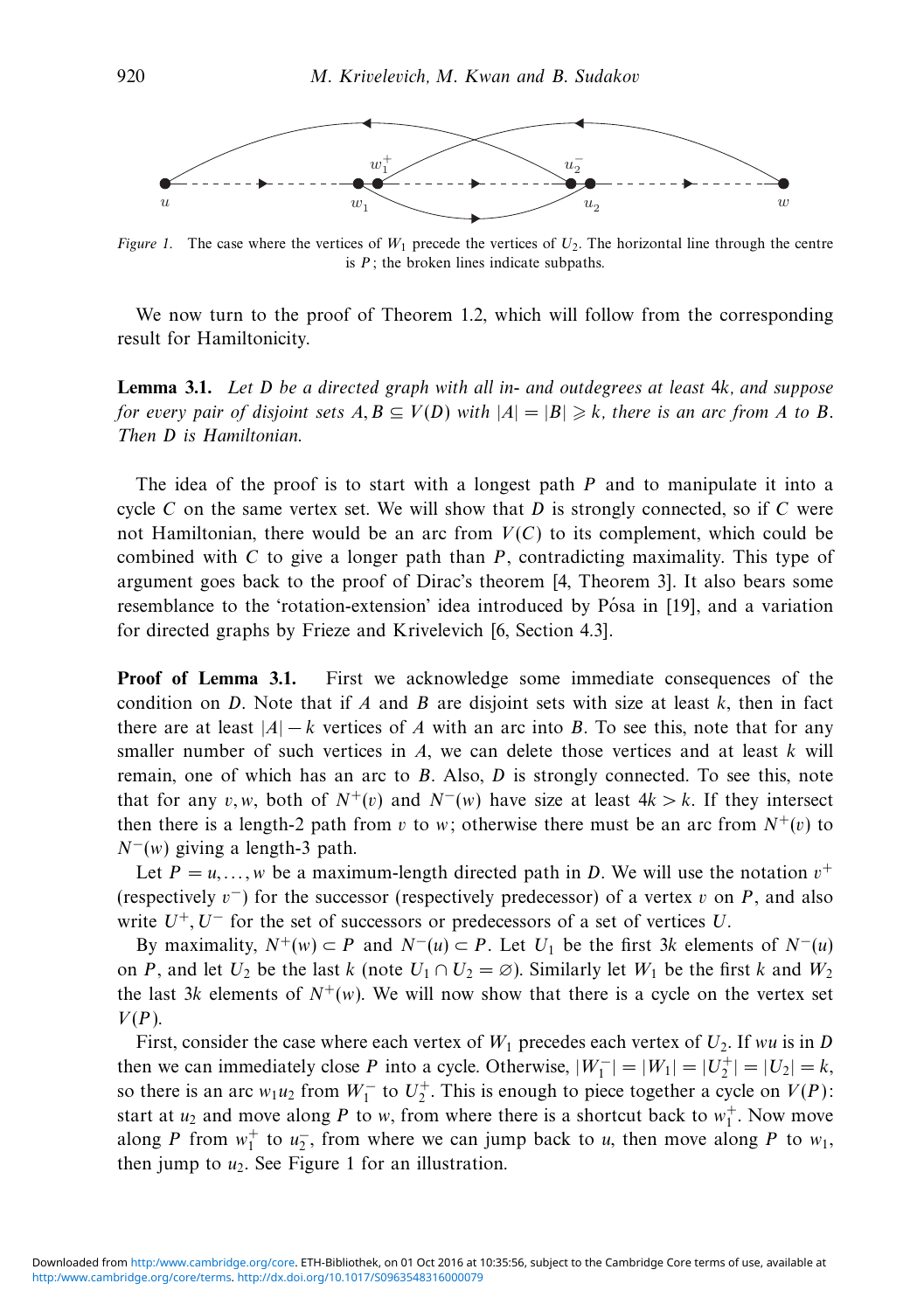

Figure 1. The case where the vertices of  $W_1$  precede the vertices of  $U_2$ . The horizontal line through the centre is *P*; the broken lines indicate subpaths.

We now turn to the proof of Theorem 1.2, which will follow from the corresponding result for Hamiltonicity.

**Lemma 3.1.** Let *D* be a directed graph with all in- and outdegrees at least 4*k*, and suppose for every pair of disjoint sets  $A, B \subseteq V(D)$  with  $|A| = |B| \geqslant k$ , there is an arc from  $A$  to  $B$ . Then *D* is Hamiltonian.

The idea of the proof is to start with a longest path *P* and to manipulate it into a cycle *C* on the same vertex set. We will show that *D* is strongly connected, so if *C* were not Hamiltonian, there would be an arc from  $V(C)$  to its complement, which could be combined with *C* to give a longer path than *P*, contradicting maximality. This type of argument goes back to the proof of Dirac's theorem [4, Theorem 3]. It also bears some resemblance to the 'rotation-extension' idea introduced by Pósa in [19], and a variation for directed graphs by Frieze and Krivelevich [6, Section 4.3].

**Proof of Lemma 3.1.** First we acknowledge some immediate consequences of the condition on *D*. Note that if *A* and *B* are disjoint sets with size at least *k*, then in fact there are at least  $|A| - k$  vertices of *A* with an arc into *B*. To see this, note that for any smaller number of such vertices in *A*, we can delete those vertices and at least *k* will remain, one of which has an arc to *B*. Also, *D* is strongly connected. To see this, note that for any *v*,*w*, both of  $N^+(v)$  and  $N^-(w)$  have size at least  $4k > k$ . If they intersect then there is a length-2 path from *v* to *w*; otherwise there must be an arc from  $N^+(v)$  to *N*<sup>−</sup>(*w*) giving a length-3 path.

Let  $P = u, \ldots, w$  be a maximum-length directed path in *D*. We will use the notation  $v^+$ (respectively *v*<sup>−</sup>) for the successor (respectively predecessor) of a vertex *v* on *P*, and also write *U*<sup>+</sup>*, U*<sup>−</sup> for the set of successors or predecessors of a set of vertices *U*.

By maximality,  $N^+(w) \subset P$  and  $N^-(u) \subset P$ . Let  $U_1$  be the first 3*k* elements of  $N^-(u)$ on *P*, and let  $U_2$  be the last *k* (note  $U_1 \cap U_2 = \emptyset$ ). Similarly let  $W_1$  be the first *k* and  $W_2$ the last 3*k* elements of  $N^+(w)$ . We will now show that there is a cycle on the vertex set *V*(*P*).

First, consider the case where each vertex of  $W_1$  precedes each vertex of  $U_2$ . If *wu* is in *D* then we can immediately close *P* into a cycle. Otherwise,  $|W_1^-| = |W_1| = |U_2^+| = |U_2| = k$ , so there is an arc  $w_1u_2$  from  $W_1^-$  to  $U_2^+$ . This is enough to piece together a cycle on  $V(P)$ : start at  $u_2$  and move along P to *w*, from where there is a shortcut back to  $w_1^+$ . Now move along *P* from  $w_1^+$  to  $u_2^-$ , from where we can jump back to *u*, then move along *P* to  $w_1$ , then jump to  $u_2$ . See Figure 1 for an illustration.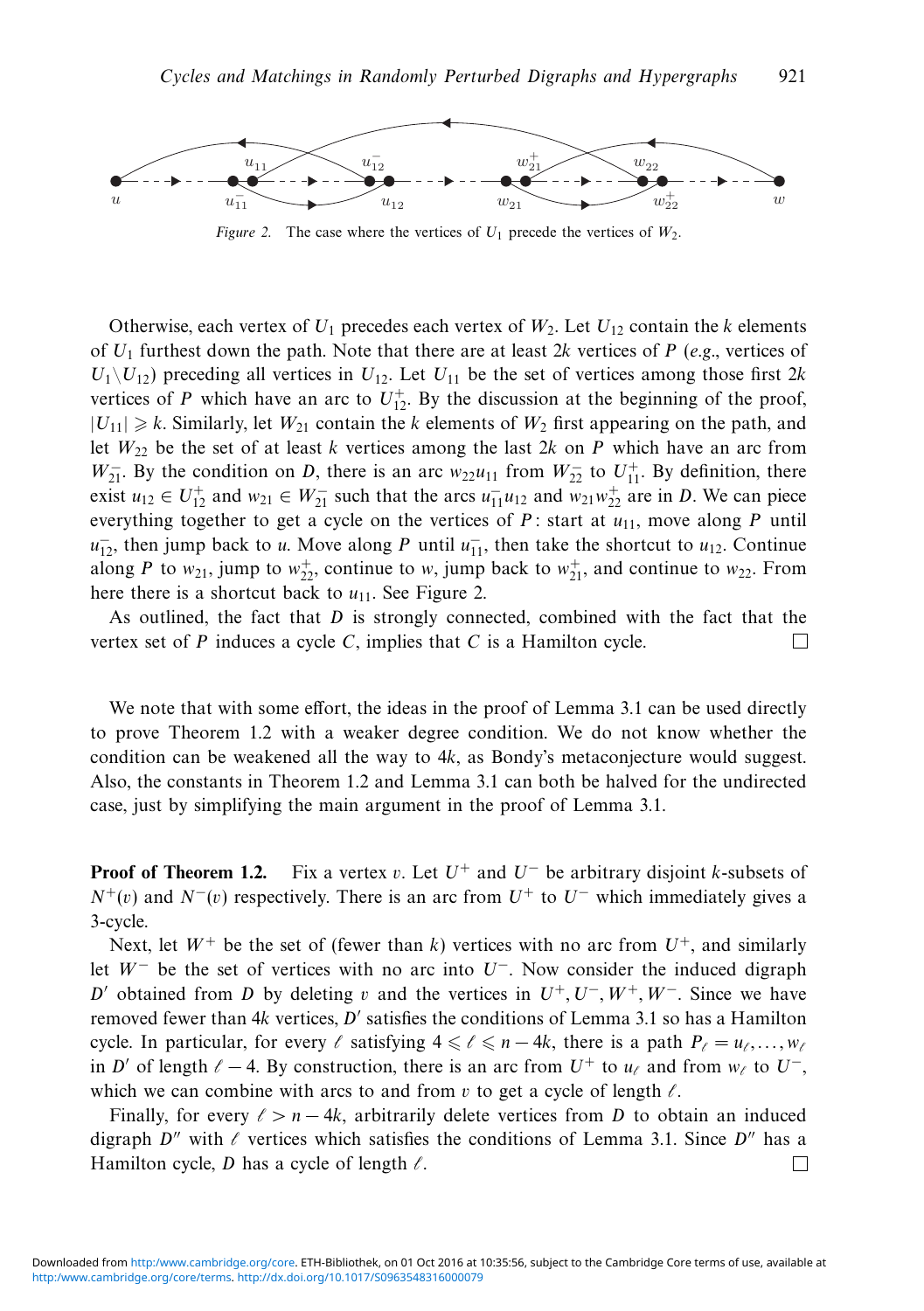

Figure 2. The case where the vertices of  $U_1$  precede the vertices of  $W_2$ .

Otherwise, each vertex of  $U_1$  precedes each vertex of  $W_2$ . Let  $U_{12}$  contain the *k* elements of *U*<sup>1</sup> furthest down the path. Note that there are at least 2*k* vertices of *P* (e.g., vertices of  $U_1 \setminus U_{12}$  preceding all vertices in  $U_{12}$ . Let  $U_{11}$  be the set of vertices among those first 2*k* vertices of *P* which have an arc to  $U_{12}^+$ . By the discussion at the beginning of the proof,  $|U_{11}| \ge k$ . Similarly, let  $W_{21}$  contain the *k* elements of  $W_2$  first appearing on the path, and let  $W_{22}$  be the set of at least *k* vertices among the last 2*k* on *P* which have an arc from *W*<sub>21</sub>. By the condition on *D*, there is an arc  $w_{22}u_{11}$  from  $W_{22}^-$  to  $U_{11}^+$ . By definition, there exist  $u_{12} \in U_{12}^+$  and  $w_{21} \in W_{21}^-$  such that the arcs  $u_{11}^- u_{12}$  and  $w_{21} w_{22}^+$  are in *D*. We can piece everything together to get a cycle on the vertices of  $P$ : start at  $u_{11}$ , move along  $P$  until  $u_{12}^-$ , then jump back to *u*. Move along *P* until  $u_{11}^-$ , then take the shortcut to  $u_{12}$ . Continue along *P* to  $w_{21}$ , jump to  $w_{22}^+$ , continue to *w*, jump back to  $w_{21}^+$ , and continue to  $w_{22}$ . From here there is a shortcut back to  $u_{11}$ . See Figure 2.

As outlined, the fact that *D* is strongly connected, combined with the fact that the vertex set of *P* induces a cycle *C*, implies that *C* is a Hamilton cycle.  $\Box$ 

We note that with some effort, the ideas in the proof of Lemma 3.1 can be used directly to prove Theorem 1.2 with a weaker degree condition. We do not know whether the condition can be weakened all the way to 4*k*, as Bondy's metaconjecture would suggest. Also, the constants in Theorem 1.2 and Lemma 3.1 can both be halved for the undirected case, just by simplifying the main argument in the proof of Lemma 3.1.

**Proof of Theorem 1.2.** Fix a vertex *v*. Let *U*<sup>+</sup> and *U*<sup>−</sup> be arbitrary disjoint *k*-subsets of  $N^+(v)$  and  $N^-(v)$  respectively. There is an arc from  $U^+$  to  $U^-$  which immediately gives a 3-cycle.

Next, let  $W^+$  be the set of (fewer than *k*) vertices with no arc from  $U^+$ , and similarly let *W*<sup>−</sup> be the set of vertices with no arc into *U*<sup>−</sup>. Now consider the induced digraph *D*<sup>*'*</sup> obtained from *D* by deleting *v* and the vertices in  $U^+$ ,  $U^-$ ,  $W^+$ ,  $W^-$ . Since we have removed fewer than 4k vertices, D' satisfies the conditions of Lemma 3.1 so has a Hamilton cycle. In particular, for every  $\ell$  satisfying  $4 \leq \ell \leq n-4k$ , there is a path  $P_{\ell} = u_{\ell},...,w_{\ell}$ in *D'* of length  $\ell - 4$ . By construction, there is an arc from  $U^+$  to  $u_{\ell}$  and from  $w_{\ell}$  to  $U^-$ , which we can combine with arcs to and from  $v$  to get a cycle of length  $\ell$ .

Finally, for every  $\ell > n - 4k$ , arbitrarily delete vertices from *D* to obtain an induced digraph  $D''$  with  $\ell$  vertices which satisfies the conditions of Lemma 3.1. Since  $D''$  has a Hamilton cycle, *D* has a cycle of length  $\ell$ .  $\Box$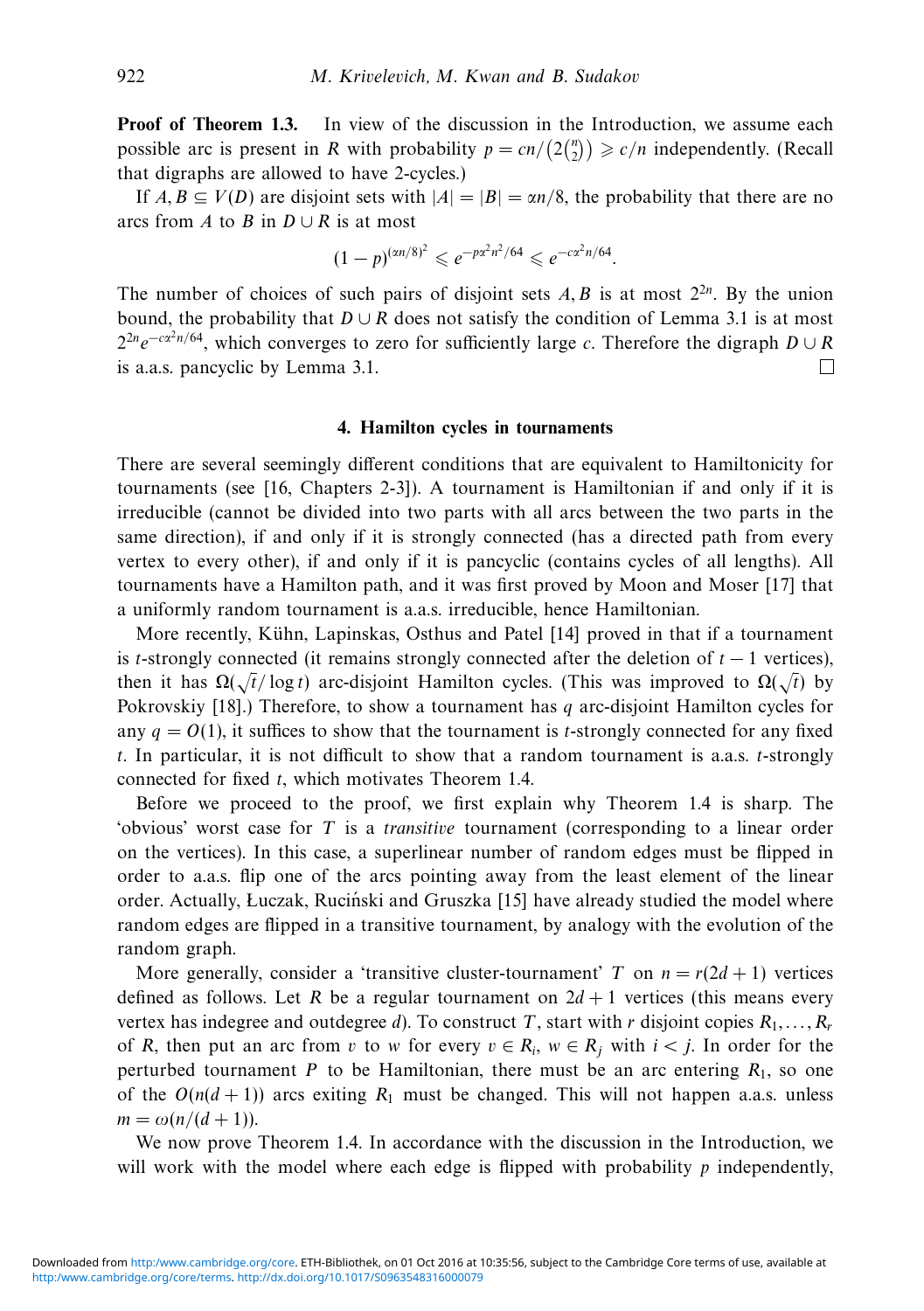**Proof of Theorem 1.3.** In view of the discussion in the Introduction, we assume each possible arc is present in *R* with probability  $p = cn/(2 {n \choose 2}) \ge c/n$  independently. (Recall that digraphs are allowed to have 2-cycles.)

If  $A, B \subseteq V(D)$  are disjoint sets with  $|A| = |B| = \alpha n/8$ , the probability that there are no arcs from *A* to *B* in  $D \cup R$  is at most

$$
(1-p)^{(an/8)^2} \leq e^{-p\alpha^2 n^2/64} \leq e^{-c\alpha^2 n/64}.
$$

The number of choices of such pairs of disjoint sets  $A, B$  is at most  $2^{2n}$ . By the union bound, the probability that  $D \cup R$  does not satisfy the condition of Lemma 3.1 is at most 22*ne*−*cα*2*n/*64, which converges to zero for sufficiently large *c*. Therefore the digraph *D* ∪ *R* is a.a.s. pancyclic by Lemma 3.1.  $\Box$ 

#### **4. Hamilton cycles in tournaments**

There are several seemingly different conditions that are equivalent to Hamiltonicity for tournaments (see [16, Chapters 2-3]). A tournament is Hamiltonian if and only if it is irreducible (cannot be divided into two parts with all arcs between the two parts in the same direction), if and only if it is strongly connected (has a directed path from every vertex to every other), if and only if it is pancyclic (contains cycles of all lengths). All tournaments have a Hamilton path, and it was first proved by Moon and Moser [17] that a uniformly random tournament is a.a.s. irreducible, hence Hamiltonian.

More recently, Kühn, Lapinskas, Osthus and Patel [14] proved in that if a tournament is *t*-strongly connected (it remains strongly connected after the deletion of  $t - 1$  vertices), then it has  $\Omega(\sqrt{t}/\log t)$  arc-disjoint Hamilton cycles. (This was improved to  $\Omega(\sqrt{t})$  by Pokrovskiy [18].) Therefore, to show a tournament has *q* arc-disjoint Hamilton cycles for any  $q = O(1)$ , it suffices to show that the tournament is *t*-strongly connected for any fixed *t*. In particular, it is not difficult to show that a random tournament is a.a.s. *t*-strongly connected for fixed *t*, which motivates Theorem 1.4.

Before we proceed to the proof, we first explain why Theorem 1.4 is sharp. The 'obvious' worst case for *T* is a transitive tournament (corresponding to a linear order on the vertices). In this case, a superlinear number of random edges must be flipped in order to a.a.s. flip one of the arcs pointing away from the least element of the linear order. Actually, Łuczak, Ruciński and Gruszka [15] have already studied the model where random edges are flipped in a transitive tournament, by analogy with the evolution of the random graph.

More generally, consider a 'transitive cluster-tournament' *T* on  $n = r(2d + 1)$  vertices defined as follows. Let *R* be a regular tournament on  $2d + 1$  vertices (this means every vertex has indegree and outdegree *d*). To construct *T*, start with *r* disjoint copies  $R_1, \ldots, R_r$ of *R*, then put an arc from *v* to *w* for every  $v \in R_i$ ,  $w \in R_j$  with  $i < j$ . In order for the perturbed tournament *P* to be Hamiltonian, there must be an arc entering  $R_1$ , so one of the  $O(n(d+1))$  arcs exiting  $R_1$  must be changed. This will not happen a.a.s. unless  $m = \omega(n/(d + 1)).$ 

We now prove Theorem 1.4. In accordance with the discussion in the Introduction, we will work with the model where each edge is flipped with probability *p* independently,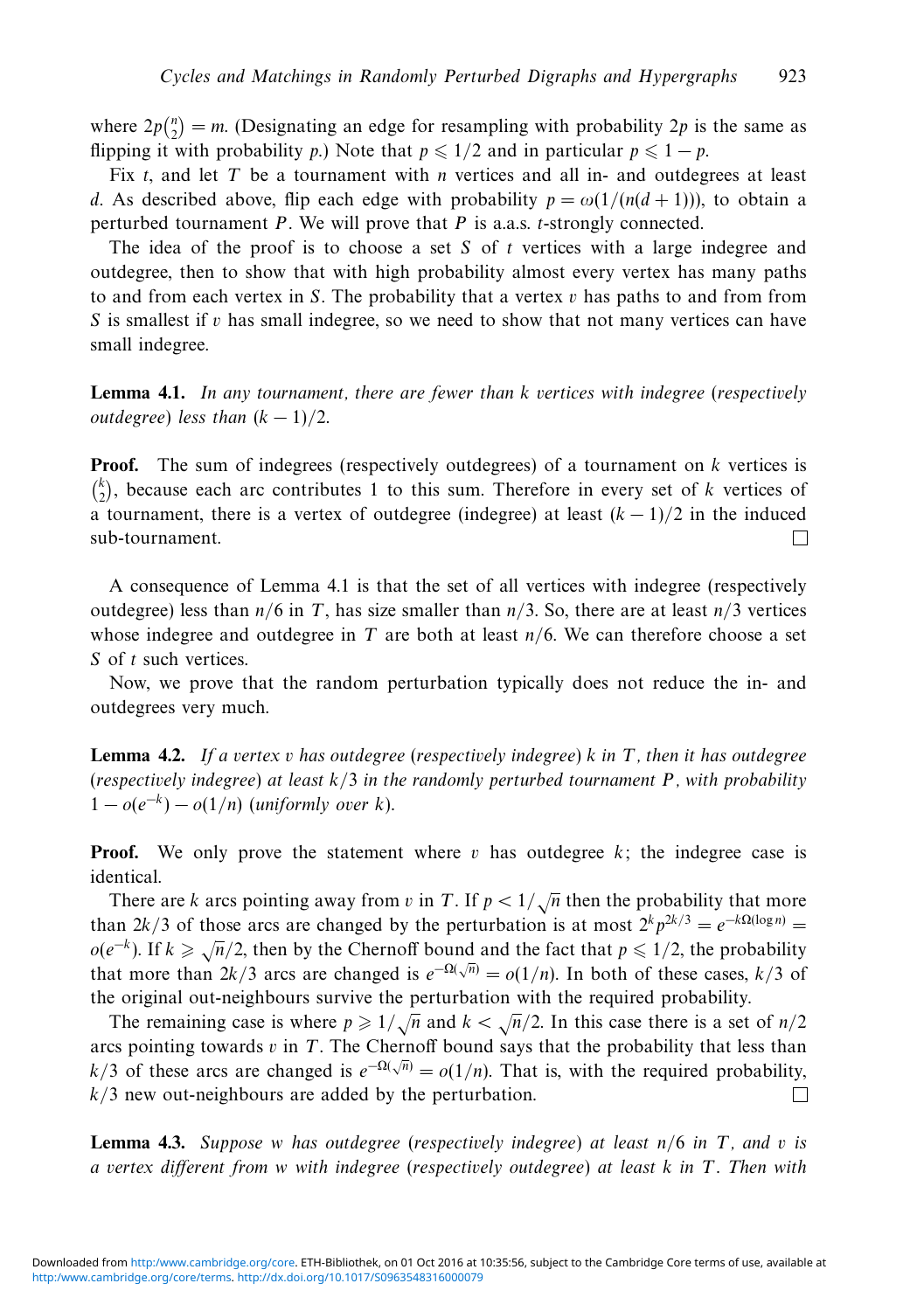where  $2p\binom{n}{2} = m$ . (Designating an edge for resampling with probability 2*p* is the same as flipping it with probability *p*.) Note that  $p \leq 1/2$  and in particular  $p \leq 1 - p$ .

Fix *t*, and let *T* be a tournament with *n* vertices and all in- and outdegrees at least *d*. As described above, flip each edge with probability  $p = \omega(1/(n(d+1)))$ , to obtain a perturbed tournament *P*. We will prove that *P* is a.a.s. *t*-strongly connected.

The idea of the proof is to choose a set *S* of *t* vertices with a large indegree and outdegree, then to show that with high probability almost every vertex has many paths to and from each vertex in *S*. The probability that a vertex *v* has paths to and from from *S* is smallest if *v* has small indegree, so we need to show that not many vertices can have small indegree.

**Lemma 4.1.** In any tournament, there are fewer than *k* vertices with indegree (respectively *outdegree*) less than  $(k-1)/2$ .

**Proof.** The sum of indegrees (respectively outdegrees) of a tournament on *k* vertices is  $\binom{k}{2}$ , because each arc contributes 1 to this sum. Therefore in every set of *k* vertices of a tournament, there is a vertex of outdegree (indegree) at least  $(k-1)/2$  in the induced sub-tournament. П

A consequence of Lemma 4.1 is that the set of all vertices with indegree (respectively outdegree) less than  $n/6$  in *T*, has size smaller than  $n/3$ . So, there are at least  $n/3$  vertices whose indegree and outdegree in *T* are both at least *n/*6. We can therefore choose a set *S* of *t* such vertices.

Now, we prove that the random perturbation typically does not reduce the in- and outdegrees very much.

**Lemma 4.2.** If a vertex *v* has outdegree (respectively indegree) *k* in *T*, then it has outdegree (respectively indegree) at least *k/*3 in the randomly perturbed tournament *P*, with probability  $1 - o(e^{-k}) - o(1/n)$  (uniformly over *k*).

**Proof.** We only prove the statement where *v* has outdegree *k*; the indegree case is identical.

There are *k* arcs pointing away from *v* in *T*. If  $p < 1/\sqrt{n}$  then the probability that more than 2*k/*3 of those arcs are changed by the perturbation is at most  $2^k p^{2k/3} = e^{-k\Omega(\log n)}$  $o(e^{-k})$ . If  $k \ge \sqrt{n}/2$ , then by the Chernoff bound and the fact that  $p \le 1/2$ , the probability that more than  $2k/3$  arcs are changed is  $e^{-\Omega(\sqrt{n})} = o(1/n)$ . In both of these cases,  $k/3$  of the original out-neighbours survive the perturbation with the required probability.

The remaining case is where  $p \ge 1/\sqrt{n}$  and  $k < \sqrt{n}/2$ . In this case there is a set of  $n/2$ arcs pointing towards *v* in *T*. The Chernoff bound says that the probability that less than *k*/3 of these arcs are changed is  $e^{-\Omega(\sqrt{n})} = o(1/n)$ . That is, with the required probability, *k/*3 new out-neighbours are added by the perturbation. П

**Lemma 4.3.** Suppose *w* has outdegree (respectively indegree) at least *n/*6 in *T*, and *v* is a vertex different from *w* with indegree (respectively outdegree) at least *k* in *T*. Then with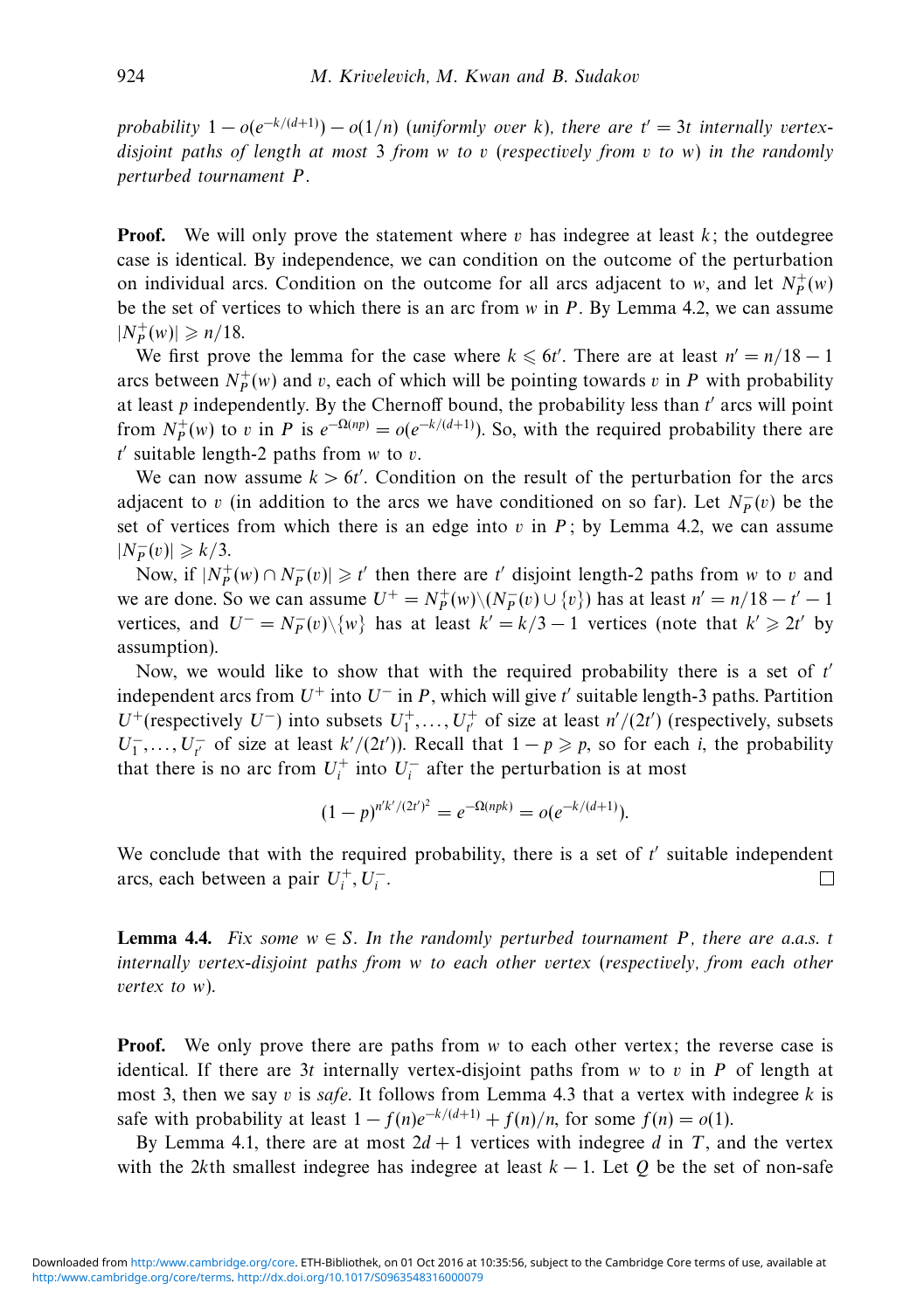probability  $1 - o(e^{-k/(d+1)}) - o(1/n)$  (uniformly over *k*), there are  $t' = 3t$  internally vertexdisjoint paths of length at most 3 from *w* to *v* (respectively from *v* to *w*) in the randomly perturbed tournament *P*.

**Proof.** We will only prove the statement where  $v$  has indegree at least  $k$ ; the outdegree case is identical. By independence, we can condition on the outcome of the perturbation on individual arcs. Condition on the outcome for all arcs adjacent to *w*, and let  $N_P^+(w)$ be the set of vertices to which there is an arc from *w* in *P*. By Lemma 4.2, we can assume  $|N_P^+(w)| \ge n/18.$ 

We first prove the lemma for the case where  $k \le 6t'$ . There are at least  $n' = n/18 - 1$ arcs between  $N_P^+(w)$  and *v*, each of which will be pointing towards *v* in *P* with probability at least  $p$  independently. By the Chernoff bound, the probability less than  $t'$  arcs will point from  $N_P^+(w)$  to *v* in *P* is  $e^{-\Omega(np)} = o(e^{-k/(d+1)})$ . So, with the required probability there are *t* suitable length-2 paths from *w* to *v*.

We can now assume  $k > 6t'$ . Condition on the result of the perturbation for the arcs adjacent to *v* (in addition to the arcs we have conditioned on so far). Let  $N_P^-(v)$  be the set of vertices from which there is an edge into  $v$  in  $P$ ; by Lemma 4.2, we can assume  $|N_P^-(v)| \geqslant k/3.$ 

Now, if  $|N_P^+(w) \cap N_P^-(v)| \ge t'$  then there are *t'* disjoint length-2 paths from *w* to *v* and we are done. So we can assume  $U^+ = N_P^+(w) \setminus (N_P^-(v) \cup \{v\})$  has at least  $n' = n/18 - t' - 1$ vertices, and  $U^- = N_P^-(v) \setminus \{w\}$  has at least  $k' = k/3 - 1$  vertices (note that  $k' \geq 2t'$  by assumption).

Now, we would like to show that with the required probability there is a set of *t* independent arcs from  $U^+$  into  $U^-$  in *P*, which will give  $t'$  suitable length-3 paths. Partition *U*<sup>+</sup>(respectively *U*<sup>-</sup>) into subsets  $U_1^+$ ,...,  $U_{t'}^+$  of size at least *n'*/(2*t'*) (respectively, subsets *U*<sup>−</sup><sub>*t*</sub>..., *U*<sup>−</sup><sub>*t*</sub><sup>*t*</sup> of size at least *k'* /(2*t'*)). Recall that  $1 - p \geq p$ , so for each *i*, the probability that there is no arc from  $U_i^+$  into  $U_i^-$  after the perturbation is at most

$$
(1-p)^{n'k'/(2t')^2} = e^{-\Omega(npk)} = o(e^{-k/(d+1)}).
$$

We conclude that with the required probability, there is a set of  $t'$  suitable independent arcs, each between a pair  $U_i^+, U_i^-$ .  $\Box$ 

**Lemma 4.4.** Fix some  $w \in S$ . In the randomly perturbed tournament P, there are a.a.s. *t* internally vertex-disjoint paths from *w* to each other vertex (respectively, from each other vertex to *w*).

**Proof.** We only prove there are paths from *w* to each other vertex; the reverse case is identical. If there are 3*t* internally vertex-disjoint paths from *w* to *v* in *P* of length at most 3, then we say *v* is safe. It follows from Lemma 4.3 that a vertex with indegree  $k$  is safe with probability at least  $1 - f(n)e^{-k/(d+1)} + f(n)/n$ , for some  $f(n) = o(1)$ .

By Lemma 4.1, there are at most  $2d + 1$  vertices with indegree *d* in *T*, and the vertex with the 2kth smallest indegree has indegree at least  $k - 1$ . Let Q be the set of non-safe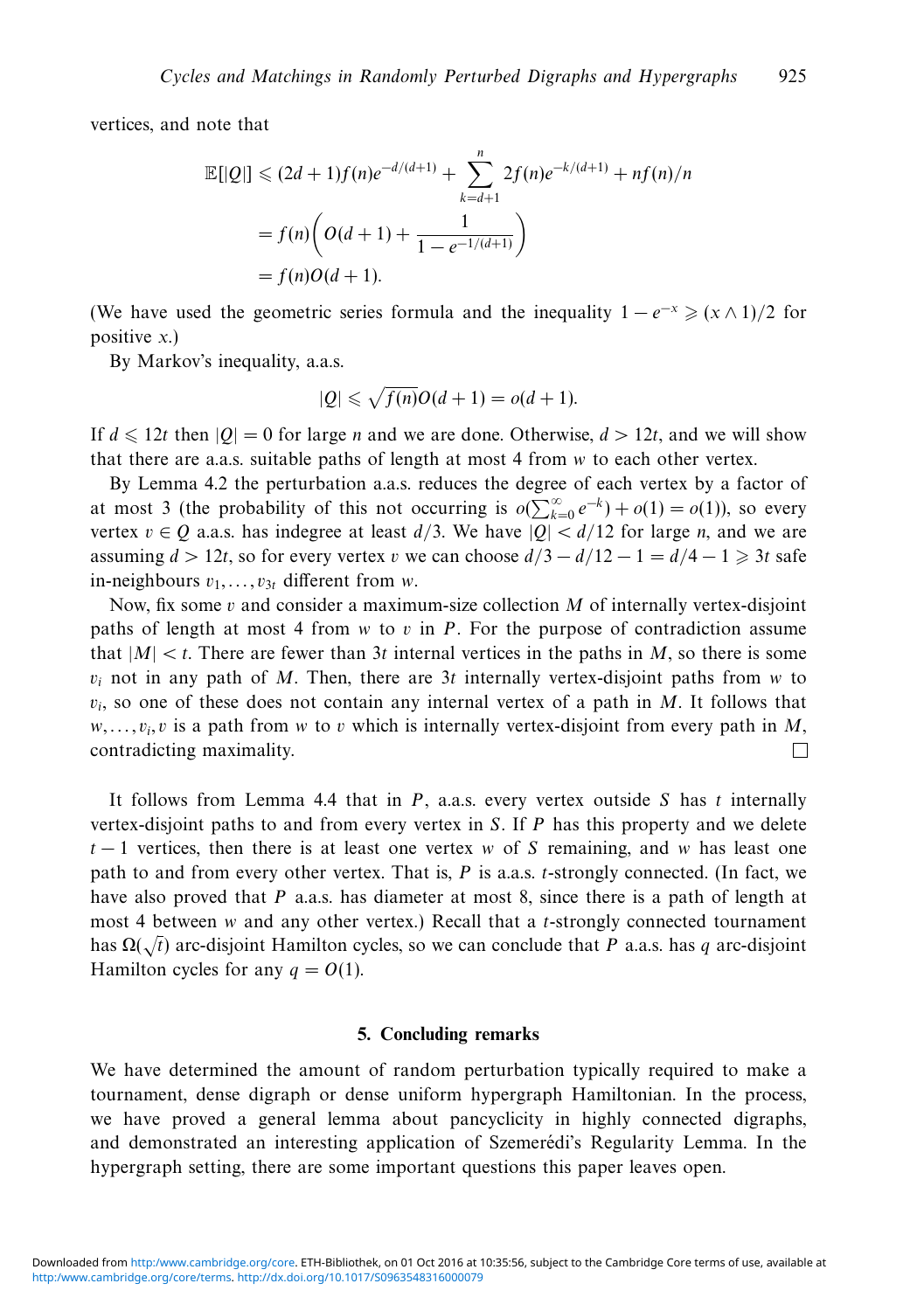vertices, and note that

$$
\mathbb{E}[|Q|] \le (2d+1)f(n)e^{-d/(d+1)} + \sum_{k=d+1}^{n} 2f(n)e^{-k/(d+1)} + nf(n)/n
$$

$$
= f(n)\left(O(d+1) + \frac{1}{1 - e^{-1/(d+1)}}\right)
$$

$$
= f(n)O(d+1).
$$

(We have used the geometric series formula and the inequality  $1 - e^{-x} \ge (x \wedge 1)/2$  for positive *x*.)

By Markov's inequality, a.a.s.

$$
|Q| \leqslant \sqrt{f(n)}O(d+1) = o(d+1).
$$

If  $d \le 12t$  then  $|Q| = 0$  for large *n* and we are done. Otherwise,  $d > 12t$ , and we will show that there are a.a.s. suitable paths of length at most 4 from *w* to each other vertex.

By Lemma 4.2 the perturbation a.a.s. reduces the degree of each vertex by a factor of at most 3 (the probability of this not occurring is  $o(\sum_{k=0}^{\infty} e^{-k}) + o(1) = o(1)$ ), so every vertex  $v \in Q$  a.a.s. has indegree at least  $d/3$ . We have  $|Q| < d/12$  for large *n*, and we are assuming  $d > 12t$ , so for every vertex *v* we can choose  $d/3 - d/12 - 1 = d/4 - 1 \ge 3t$  safe in-neighbours *v*1*,...,v*<sup>3</sup>*<sup>t</sup>* different from *w*.

Now, fix some *v* and consider a maximum-size collection *M* of internally vertex-disjoint paths of length at most 4 from *w* to *v* in *P*. For the purpose of contradiction assume that  $|M| < t$ . There are fewer than 3t internal vertices in the paths in M, so there is some  $v_i$  not in any path of *M*. Then, there are 3*t* internally vertex-disjoint paths from *w* to  $v_i$ , so one of these does not contain any internal vertex of a path in *M*. It follows that  $w, \ldots, v_i, v$  is a path from *w* to *v* which is internally vertex-disjoint from every path in *M*, contradicting maximality. П

It follows from Lemma 4.4 that in *P*, a.a.s. every vertex outside *S* has *t* internally vertex-disjoint paths to and from every vertex in *S*. If *P* has this property and we delete *t* − 1 vertices, then there is at least one vertex *w* of *S* remaining, and *w* has least one path to and from every other vertex. That is, *P* is a.a.s. *t*-strongly connected. (In fact, we have also proved that *P* a.a.s. has diameter at most 8, since there is a path of length at most 4 between *w* and any other vertex.) Recall that a *t*-strongly connected tournament has Ω(√*t*) arc-disjoint Hamilton cycles, so we can conclude that *<sup>P</sup>* a.a.s. has *<sup>q</sup>* arc-disjoint Hamilton cycles for any  $q = O(1)$ .

#### **5. Concluding remarks**

We have determined the amount of random perturbation typically required to make a tournament, dense digraph or dense uniform hypergraph Hamiltonian. In the process, we have proved a general lemma about pancyclicity in highly connected digraphs, and demonstrated an interesting application of Szemerédi's Regularity Lemma. In the hypergraph setting, there are some important questions this paper leaves open.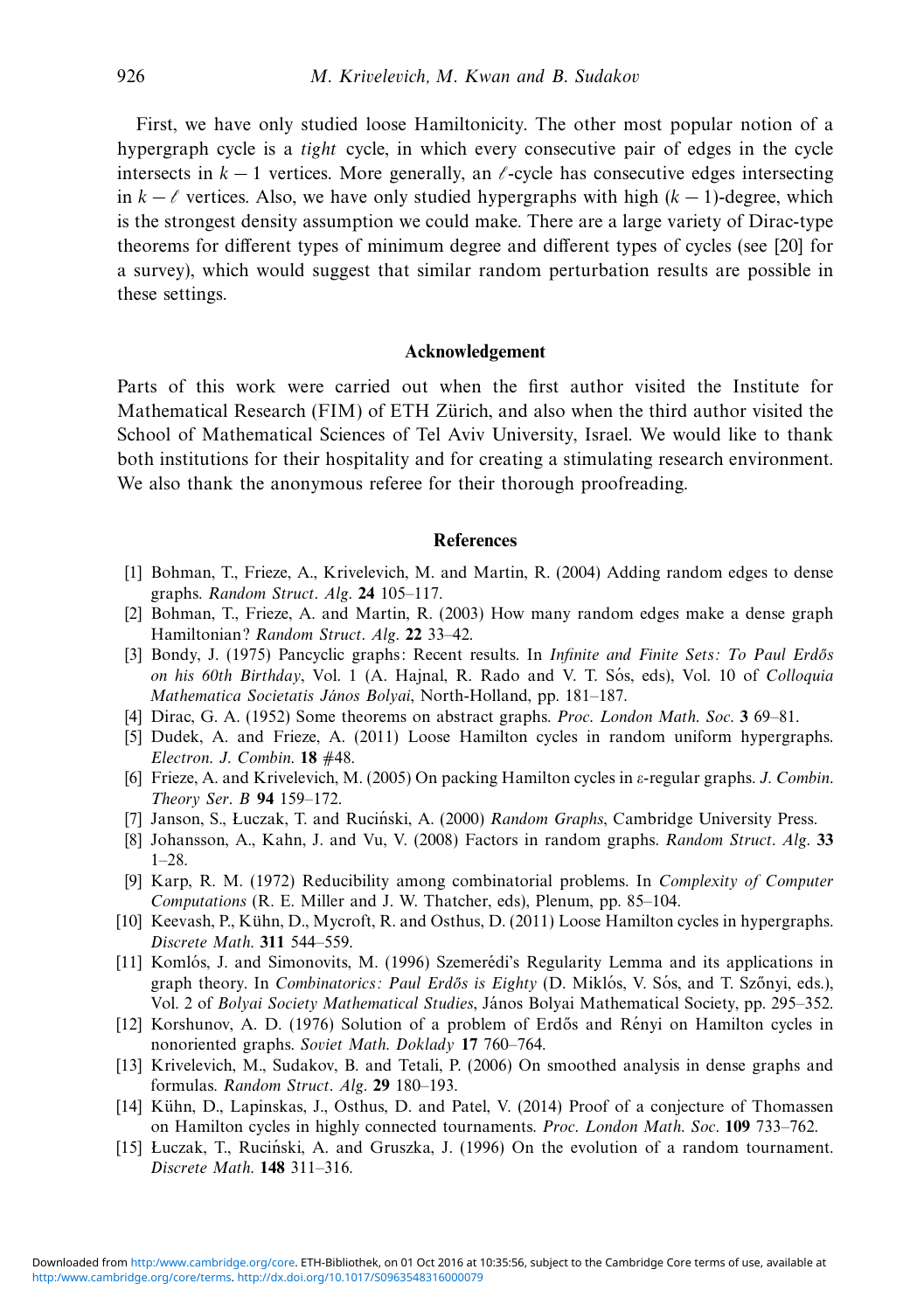First, we have only studied loose Hamiltonicity. The other most popular notion of a hypergraph cycle is a tight cycle, in which every consecutive pair of edges in the cycle intersects in  $k - 1$  vertices. More generally, an  $\ell$ -cycle has consecutive edges intersecting in  $k - \ell$  vertices. Also, we have only studied hypergraphs with high  $(k − 1)$ -degree, which is the strongest density assumption we could make. There are a large variety of Dirac-type theorems for different types of minimum degree and different types of cycles (see [20] for a survey), which would suggest that similar random perturbation results are possible in these settings.

#### **Acknowledgement**

Parts of this work were carried out when the first author visited the Institute for Mathematical Research (FIM) of ETH Zürich, and also when the third author visited the School of Mathematical Sciences of Tel Aviv University, Israel. We would like to thank both institutions for their hospitality and for creating a stimulating research environment. We also thank the anonymous referee for their thorough proofreading.

#### **References**

- [1] Bohman, T., Frieze, A., Krivelevich, M. and Martin, R. (2004) Adding random edges to dense graphs. Random Struct. Alg. **24** 105–117.
- [2] Bohman, T., Frieze, A. and Martin, R. (2003) How many random edges make a dense graph Hamiltonian? Random Struct. Alg. **22** 33–42.
- [3] Bondy, J. (1975) Pancyclic graphs: Recent results. In *Infinite and Finite Sets: To Paul Erdős* on his 60th Birthday, Vol. 1 (A. Hajnal, R. Rado and V. T. Sós, eds), Vol. 10 of *Colloquia* Mathematica Societatis János Bolyai, North-Holland, pp. 181-187.
- [4] Dirac, G. A. (1952) Some theorems on abstract graphs. Proc. London Math. Soc. **3** 69–81.
- [5] Dudek, A. and Frieze, A. (2011) Loose Hamilton cycles in random uniform hypergraphs. Electron. J. Combin. **18** #48.
- [6] Frieze, A. and Krivelevich, M. (2005) On packing Hamilton cycles in *ε*-regular graphs. J. Combin. Theory Ser. B **94** 159–172.
- [7] Janson, S., Łuczak, T. and Ruciński, A. (2000) Random Graphs, Cambridge University Press.
- [8] Johansson, A., Kahn, J. and Vu, V. (2008) Factors in random graphs. Random Struct. Alg. **33**  $1 - 28$
- [9] Karp, R. M. (1972) Reducibility among combinatorial problems. In Complexity of Computer Computations (R. E. Miller and J. W. Thatcher, eds), Plenum, pp. 85–104.
- [10] Keevash, P., Kuhn, D., Mycroft, R. and Osthus, D. (2011) Loose Hamilton cycles in hypergraphs. ¨ Discrete Math. **311** 544–559.
- [11] Komlós, J. and Simonovits, M. (1996) Szemerédi's Regularity Lemma and its applications in graph theory. In *Combinatorics: Paul Erdős is Eighty* (D. Miklós, V. Sós, and T. Szőnyi, eds.), Vol. 2 of Bolyai Society Mathematical Studies, János Bolyai Mathematical Society, pp. 295–352.
- [12] Korshunov, A. D. (1976) Solution of a problem of Erdős and Rényi on Hamilton cycles in nonoriented graphs. Soviet Math. Doklady **17** 760–764.
- [13] Krivelevich, M., Sudakov, B. and Tetali, P. (2006) On smoothed analysis in dense graphs and formulas. Random Struct. Alg. **29** 180–193.
- [14] Kühn, D., Lapinskas, J., Osthus, D. and Patel, V. (2014) Proof of a conjecture of Thomassen on Hamilton cycles in highly connected tournaments. Proc. London Math. Soc. **109** 733–762.
- [15] Luczak, T., Ruciński, A. and Gruszka, J. (1996) On the evolution of a random tournament. Discrete Math. **148** 311–316.